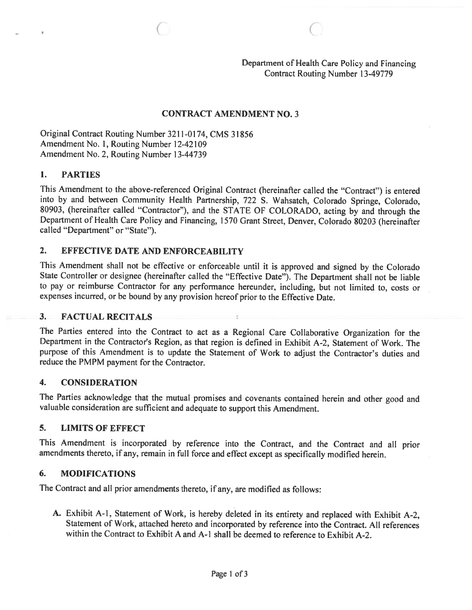# Department of Health Care Policy and Financing Contract Routing Number 13-49779

# CONTRACT AMENDMENT NO. 3

Original Contract Routing Number 3211-0174, CMS 31856 Amendment No. 1, Routing Number 12-42109 Amendment No. 2, Routing Number 13-44739

#### 1. PARTIES

This Amendment to the above-referenced Original Contract (hereinafter called the "Contract") is entered into by and between Community Health Partnership, <sup>722</sup> S. Wahsatch, Colorado Springe, Colorado, 80903, (hereinafter called "Contractor"), and the STATE OF COLORADO, acting by and through the Department of Health Care Policy and Financing, <sup>1570</sup> Grant Street, Denver, Colorado <sup>80203</sup> (hereinafter called "Department" or "State").

# 2. EFFECTIVE DATE AND ENFORCEABILITY

This Amendment shall not be effective or enforceable until it is approved and signed by the Colorado State Controller or designee (hereinafter called the "Effective Date"). The Department shall not be liable to pay or reimburse Contractor for any performance hereunder, including, but not limited to, costs or expenses incurred, or be bound by any provision hereof prior to the Effective Date.

# 3. FACTUAL RECITALS

The Parties entered into the Contract to act as <sup>a</sup> Regional Care Collaborative Organization for the Department in the Contractor's Region, as that region is defined in Exhibit A-2, Statement of Work. The purpose of this Amendment is to update the Statement of Work to adjust the Contractor's duties and reduce the PMPM payment for the Contractor.

# 4. CONSIDERATION

The Parties acknowledge that the mutual promises and covenants contained herein and other good and valuable consideration are sufficient and adequate to support this Amendment.

# 5. LIMITS OF EFFECT

This Amendment is incorporated by reference into the Contract, and the Contract and all prior amendments thereto, if any, remain in full force and effect except as specifically modified herein.

# 6. MODIFICATIONS

The Contract and all prior amendments thereto, if any, are modified as follows:

A. Exhibit A-I, Statement of Work, is hereby deleted in its entirety and replaced with Exhibit A-2, Statement of Work, attached hereto and incorporated by reference into the Contract. All references within the Contract to Exhibit A and A-I shall be deemed to reference to Exhibit A-2.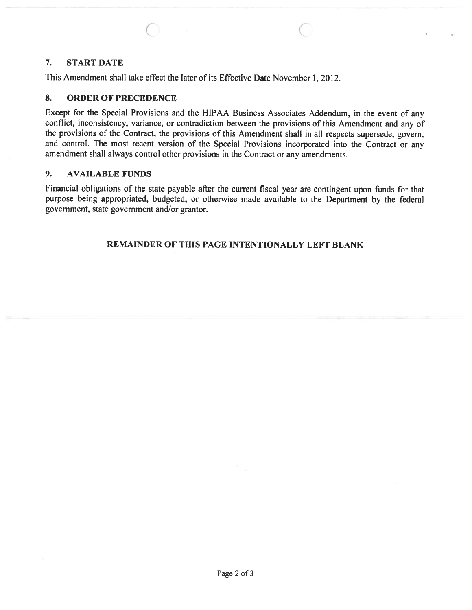#### 7. START DATE

This Amendment shall take effect the later of its Effective Date November 1, 2012.

#### 8. ORDER OF PRECEDENCE

Except for the Special Provisions and the HIPAA Business Associates Addendum, in the event of any conflict, inconsistency, variance, or contradiction between the provisions of this Amendment and any of the provisions of the Contract, the provisions of this Amendment shall in all respects supersede, govern, and control. The most recent version of the Special Provisions incorporated into the Contract or any amendment shall always control other provisions in the Contract or any amendments.

 $\circ$  contracts to  $\circ$ 

# 9. AVAILABLE FUNDS

Financial obligations of the state payable after the current fiscal year are contingent upon funds for that purpose being appropriated, budgeted, or otherwise made available to the Department by the federal government, state governmen<sup>t</sup> and/or grantor.

# REMAINDER OF THIS PAGE INTENTIONALLY LEFT BLANK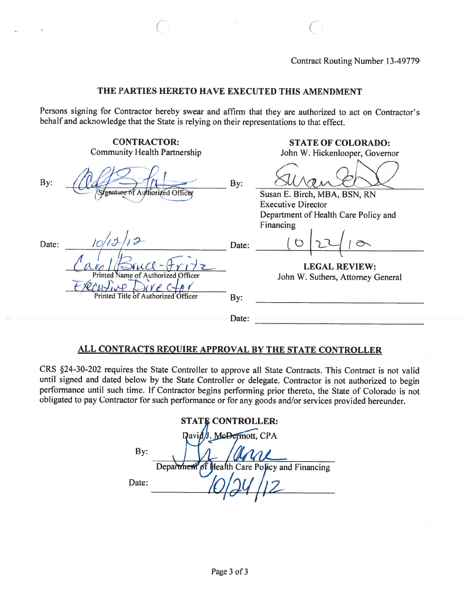#### THE PARTIES HERETO HAVE EXECUTED THIS AMENDMENT

C C

Persons signing for Contractor hereby swear and affirm that they are authorized to act on Contractor's behalf and acknowledge that the State is relying on their representations to that effect.

|       | <b>CONTRACTOR:</b><br><b>Community Health Partnership</b> |       | <b>STATE OF COLORADO:</b><br>John W. Hickenlooper, Governor                    |
|-------|-----------------------------------------------------------|-------|--------------------------------------------------------------------------------|
| By:   | Signature of Authorized Officer                           | By:   | Susan E. Birch, MBA, BSN, RN                                                   |
|       |                                                           |       | <b>Executive Director</b><br>Department of Health Care Policy and<br>Financing |
| Date: |                                                           | Date: |                                                                                |
|       | Printed Name of Authorized Officer                        |       | <b>LEGAL REVIEW:</b><br>John W. Suthers, Attorney General                      |
|       | Printed Title of Authorized Officer                       | By:   |                                                                                |
|       |                                                           | Date: |                                                                                |

# ALL CONTRACTS REQUIRE APPROVAL BY THE STATE CONTROLLER

CRS §24-30-202 requires the State Controller to approve all State Contracts. This Contract is not valid until signed and dated below by the State Controller or delegate. Contractor is not authorized to begin performance until such time. If Contractor begins performing prior thereto, the State of Colorado is not obligated to pay Contractor for such performance or for any goods and/or services provided hereunder.

| <b>STATE CONTROLLER:</b> |                                                |  |  |  |  |
|--------------------------|------------------------------------------------|--|--|--|--|
|                          | David J. McDermott, CPA                        |  |  |  |  |
| By:                      | nne                                            |  |  |  |  |
|                          | Department of Health Care Policy and Financing |  |  |  |  |
| Date:                    |                                                |  |  |  |  |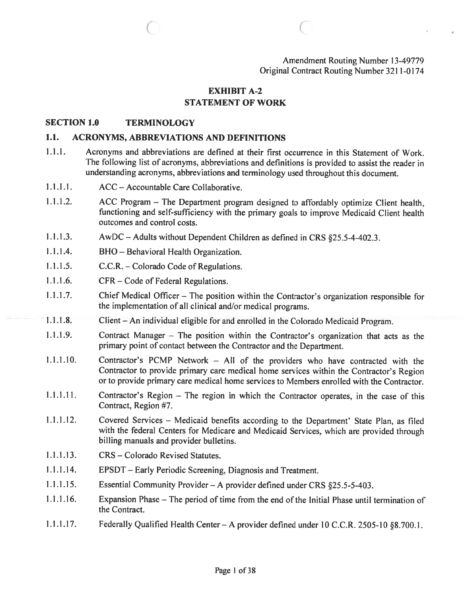Amendment Routing Number 13-49779 Original Contract Routing Number 3211-0174

#### EXHIBIT A-2 STATEMENT OF WORK

( C

#### SECTION 1.0 TERMINOLOGY

#### 1.1. ACRONYMS, ABBREVIATIONS AND DEFINITIONS

- .1.1. Acronyms and abbreviations are defined at their first occurrence in this Statement of Work. The following list of acronyms, abbreviations and definitions is provided to assist the reader in understanding acronyms, abbreviations and terminology used throughout this document.
- 1.1 .1.1. ACC Accountable Care Collaborative.
- 1.1.1.2. ACC Program The Department program designed to affordably optimize Client health, functioning and self-sufficiency with the primary goals to improve Medicaid Client health outcomes and control costs.
- 1.1.1.3. AwDC—Adults without Dependent Children as defined in CRS §25.5-4-402.3.
- 1.1.1.4. BHO Behavioral Health Organization.
- 1.1.1.5. C.C.R. Colorado Code of Regulations.
- 1.1.1.6. CFR Code of Federal Regulations.
- 1.1.1.7. Chief Medical Officer The position within the Contractor's organization responsible for the implementation of all clinical and/or medical programs.
- 1.1.1.8. Client An individual eligible for and enrolled in the Colorado Medicaid Program.
- 1.1.1.9. Contract Manager The position within the Contractor's organization that acts as the primary point of contact between the Contractor and the Department.
- 1.1.1.10. Contractor's PCMP Network All of the providers who have contracted with the Contractor to provide primary care medical home services within the Contractor's Region or to provide primary care medical home services to Members enrolled with the Contractor.
- 1.1.1.11. Contractor's Region The region in which the Contractor operates, in the case of this Contract, Region #7.
- 1.1.1.12. Covered Services Medicaid benefits according to the Department' State Plan, as filed with the federal Centers for Medicare and Medicaid Services, which are provided through billing manuals and provider bulletins.
- 1.1.1.13. CRS Colorado Revised Statutes.
- 1.1.1.14. EPSDT Early Periodic Screening, Diagnosis and Treatment.
- 1.1.1 .15. Essential Community Provider <sup>A</sup> provider defined under CRS §25.5-5-403.
- 1.1.1.16. Expansion Phase—The period of time from the end of the Initial Phase until termination of the Contract.
- 1.1.1.17. Federally Qualified Health Center A provider defined under 10 C.C.R. 2505-10 §8.700.1.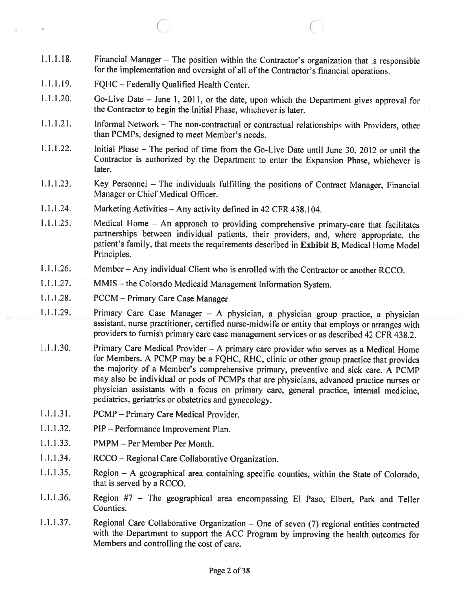1.1.1.18. Financial Manager — The position within the Contractor's organization that is responsible for the implementation and oversight of all of the Contractor's financial operations.

 $\circ$  C

- 1.1.1.19. FQHC Federally Qualified Health Center.
- 1.1.1.20. Go-Live Date June 1, 2011, or the date, upon which the Department <sup>g</sup>ives approval for the Contractor to begin the Initial Phase, whichever is later.
- 1.1.1.21. Informal Network The non-contractual or contractual relationships with Providers, other than PCMPs, designed to meet Member's needs.
- 1.1.1.22. Initial Phase The period of time from the Go-Live Date until June 30, <sup>2012</sup> or until the Contractor is authorized by the Department to enter the Expansion Phase, whichever is later.
- 1.1.1.23. Key Personnel The individuals fulfilling the positions of Contract Manager, Financial Manager or Chief Medical Officer.
- <sup>1</sup> .1.1 .24. Marketing Activities Any activity defined in <sup>42</sup> CFR 438.104.
- 1.1.1.25. Medical Home An approach to providing comprehensive primary-care that facilitates partnerships between individual patients, their providers, and, where appropriate, the patient's family, that meets the requirements described in Exhibit B, Medical Home Model Principles.
- <sup>1</sup> .1 .1 .26. Member Any individual Client who is enrolled with the Contractor or another RCCO.
- .1 .1 .27. MMIS the Colorado Medicaid Management Information System.
- 1.1.1.28. PCCM Primary Care Case Manager
- 1.1.1.29. Primary Care Case Manager <sup>A</sup> <sup>p</sup>hysician, <sup>a</sup> <sup>p</sup>hysician group practice, <sup>a</sup> <sup>p</sup>hysician assistant, nurse practitioner, certified nurse-midwife or entity that employs or arranges with providers to furnish primary care case management services or as described <sup>42</sup> CFR 438.2.
- <sup>1</sup> .1 .1 .30. Primary Care Medical Provider <sup>A</sup> primary care provider who serves as <sup>a</sup> Medical Home for Members. A PCMP may be a FQHC, RHC, clinic or other group practice that provides the majority of <sup>a</sup> Member's comprehensive primary, preventive and sick care. <sup>A</sup> PCMP may also be individual or pods of PCMPs that are <sup>p</sup>hysicians, advanced practice nurses or <sup>p</sup>hysician assistants with <sup>a</sup> focus on primary care, general practice, internal medicine, pediatrics, geriatrics or obstetrics and gynecology.
- 1.1.1.31. PCMP Primary Care Medical Provider.
- 1.1.1.32. PIP Performance Improvement Plan.
- 1.1.1.33. PMPM Per Member Per Month.
- $1.1.1.34.$ RCCO – Regional Care Collaborative Organization.
- 1.1.1.35. Region <sup>A</sup> geographical area containing specific counties, within the State of Colorado, that is served by <sup>a</sup> RCCO.
- 1.1.1.36. Region #7 The geographical area encompassing El Paso, Elbert, Park and Teller Counties.
- 1.1.1.37. Regional Care Collaborative Organization One of seven (7) regional entities contracted with the Department to support the ACC Program by improving the health outcomes for Members and controlling the cost of care.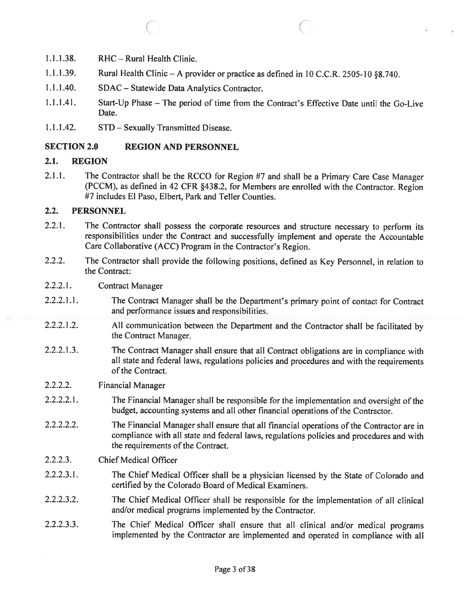1.1.1.38. RHC—Rural Health Clinic.

1.1.1.39. Rural Health Clinic – A provider or practice as defined in 10 C.C.R. 2505-10 §8.740.

 $\bigcirc$  contracts to  $\bigcirc$ 

- 1.1.1.40. SDAC Statewide Data Analytics Contractor.
- 1.1.1.41. Start-Up Phase The period of time from the Contract's Effective Date until the Go-Live Date.
- 1.1.1.42. STD Sexually Transmitted Disease.

#### SECTION 2.0 REGION AND PERSONNEL

#### 2.1. REGION

2.1.1. The Contractor shall be the RCCO for Region #7 and shall be <sup>a</sup> Primary Care Case Manager (PCCM), as defined in <sup>42</sup> CFR §438.2, for Members are enrolled with the Contractor. Region #7 includes El Paso, Elbert, Park and Teller Counties.

#### 2.2. PERSONNEL

- 2.2.1. The Contractor shall possess the corporate resources and structure necessary to perform its responsibilities under the Contract and successfully implement and operate the Accountable Care Collaborative (ACC) Program in the Contractor's Region.
- 2.2.2. The Contractor shall provide the following positions, defined as Key Personnel, in relation to the Contract:
- 2.2.2.1. Contract Manager
- 2.2.2.1.1. The Contract Manager shall be the Department's primary point of contact for Contract and performance issues and responsibilities.
- 2.2.2.1.2. All communication between the Department and the Contractor shall be facilitated by the Contract Manager.
- 2.2.2.1.3. The Contract Manager shall ensure that all Contract obligations are in compliance with all state and federal laws, regulations policies and procedures and with the requirements of the Contract.
- 2.2.2.2. Financial Manager
- 2.2.2.2.1. The Financial Manager shall be responsible for the implementation and oversight of the budget, accounting systems and all other financial operations of the Contractor.
- 2.2.2.2.2. The Financial Manager shall ensure that all financial operations of the Contractor are in compliance with all state and federal laws, regulations policies and procedures and with the requirements of the Contract.
- 2.2.2.3. Chief Medical Officer
- 2.2.2.3.1. The Chief Medical Officer shall be <sup>a</sup> <sup>p</sup>hysician licensed by the State of Colorado and certified by the Colorado Board of Medical Examiners.
- 2.2.2.3.2. The Chief Medical Officer shall be responsible for the implementation of all clinical and/or medical programs implemented by the Contractor.
- 2.2.2.3.3. The Chief Medical Officer shall ensure that all clinical and/or medical programs implemented by the Contractor are implemented and operated in compliance with all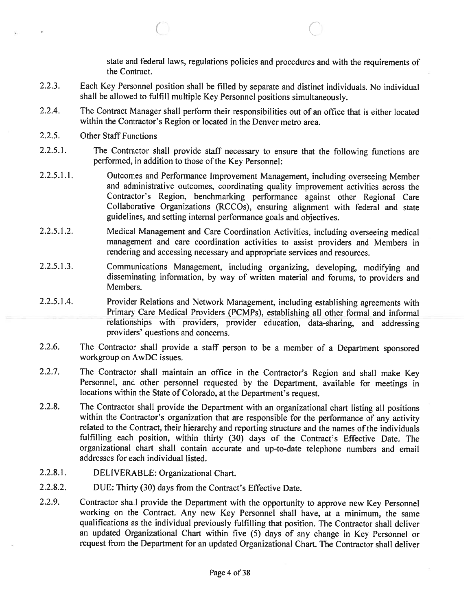state and federal laws, regulations policies and procedures and with the requirements of the Contract.

 $\subset$ 

- 2.2.3. Each Key Personnel position shall be filled by separate and distinct individuals. No individual shall be allowed to fulfill multiple Key Personnel positions simultaneously.
- 2.2.4. The Contract Manager shall perform their responsibilities out of an office that is either located within the Contractor's Region or located in the Denver metro area.
- 2.2.5. Other Staff Functions
- 2.2.5.1. The Contractor shall provide staff necessary to ensure that the following functions are performed, in addition to those of the Key Personnel:
- 2.2.5.1.1. Outcomes and Performance Improvement Management, including overseeing Member and administrative outcomes, coordinating quality improvement activities across the Contractor's Region, benchmarking performance against other Regional Care Collaborative Organizations (RCCOs), ensuring alignment with federal and state guidelines, and setting internal performance goals and objectives.
- 2.2.5.1 .2. Medical Management and Care Coordination Activities, including overseeing medical managemen<sup>t</sup> and care coordination activities to assist providers and Members in rendering and accessing necessary and appropriate services and resources.
- 2.2.5.1.3. Communications Management, including organizing, developing, modifying and disseminating information, by way of written material and forums, to providers and Members.
- 2.2.5.1.4. Provider Relations and Network Management, including establishing agreements with Primary Care Medical Providers (PCMPs), establishing all other formal and informal relationships with providers, provider education, data-sharing, and addressing providers' questions and concerns.
- 2.2.6. The Contractor shall provide <sup>a</sup> staff person to be <sup>a</sup> member of <sup>a</sup> Department sponsore<sup>d</sup> workgroup on AwDC issues.
- 2.2.7. The Contractor shall maintain an office in the Contractor's Region and shall make Key Personnel, and other personne<sup>l</sup> requested by the Department, available for meetings in locations within the State of Colorado, at the Department's request.
- 2.2.8. The Contractor shall provide the Department with an organizational chart listing all positions within the Contractor's organization that are responsible for the performance of any activity related to the Contract, their hierarchy and reporting structure and the names of the individuals fulfilling each position, within thirty (30) days of the Contract's Effective Date. The organizational chart shall contain accurate and up-to-date telephone numbers and email addresses for each individual listed.
- 2.2.8.1. DELIVERABLE: Organizational Chart.
- 2.2.8.2. DUE: Thirty (30) days from the Contract's Effective Date.
- 2.2.9. Contractor shall provide the Department with the opportunity to approve new Key Personnel working on the Contract. Any new Key Personnel shall have, at <sup>a</sup> minimum, the same qualifications as the individual previously fulfilling that position. The Contractor shall deliver an updated Organizational Chart within five (5) days of any change in Key Personnel or reques<sup>t</sup> from the Department for an updated Organizational Chart. The Contractor shall deliver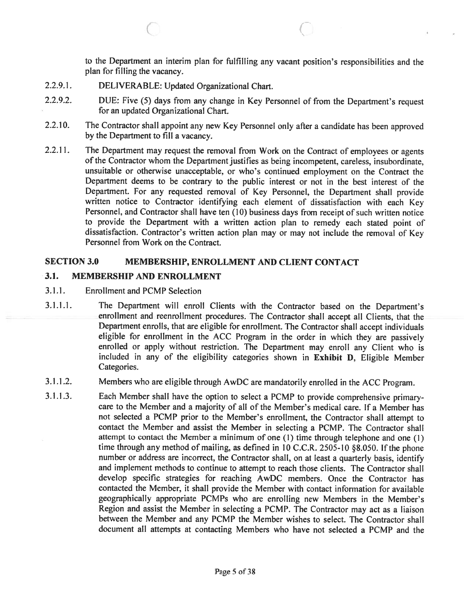to the Department an interim <sup>p</sup>lan for fulfilling any vacant position's responsibilities and the plan for filling the vacancy.

- 2.2.9.1. DELIVERABLE: Updated Organizational Chart.
- 2.2.9.2. DUE: Five (5) days from any change in Key Personnel of from the Department's reques<sup>t</sup> for an updated Organizational Chart.

 $\circ$   $\circ$   $\circ$   $\circ$ 

- 2.2.10. The Contractor shall appoint any new Key Personnel only after <sup>a</sup> candidate has been approve<sup>d</sup> by the Department to fill <sup>a</sup> vacancy.
- 2.2.11. The Department may request the removal from Work on the Contract of employees or agents of the Contractor whom the Department justifies as being incompetent, careless, insubordinate, unsuitable or otherwise unacceptable, or who's continued employment on the Contract the Department deems to be contrary to the public interest or not in the best interest of the Department. For any requested removal of Key Personnel, the Department shall provide written notice to Contractor identifying each element of dissatisfaction with each Key Personnel, and Contractor shall have ten (10) business days from receipt of such written notice to provide the Department with <sup>a</sup> written action <sup>p</sup>lan to remedy each stated point of dissatisfaction. Contractor's written action <sup>p</sup>lan may or may not include the removal of Key Personnel from Work on the Contract.

# SECTION 3.0 MEMBERSHIP, ENROLLMENT AND CLIENT CONTACT

# 3.1. MEMBERSHIP AND ENROLLMENT

- 3.1.1. Enrollment and PCMP Selection
- 3.1.1.1. The Department will enroll Clients with the Contractor based on the Department's enrollment and reenroilment procedures. The Contractor shall accep<sup>t</sup> all Clients, that the Department enrolls, that are eligible for enrollment. The Contractor shall accep<sup>t</sup> individuals eligible for enrollment in the ACC Program in the order in which they are passively enrolled or apply without restriction. The Department may enroll any Client who is included in any of the eligibility categories shown in Exhibit D, Eligible Member Categories.

# 3.1.1.2. Members who are eligible through AwDC are mandatorily enrolled in the ACC Program.

3.1.1.3. Each Member shall have the option to select <sup>a</sup> PCMP to provide comprehensive primarycare to the Member and <sup>a</sup> majority of all of the Member's medical care. If <sup>a</sup> Member has not selected <sup>a</sup> PCMP prior to the Member's enrollment, the Contractor shall attempt to contact the Member and assist the Member in selecting <sup>a</sup> PCMP. The Contractor shall attempt to contact the Member <sup>a</sup> minimum of one (I) time through telephone and one (1) time through any method of mailing, as defined in <sup>10</sup> C.C.R. 2505-10 §8.050. If the <sup>p</sup>hone number or address are incorrect, the Contractor shall, on at least <sup>a</sup> quarterly basis, identify and implement methods to continue to attempt to reach those clients. The Contractor shall develop specific strategies for reaching AwDC members. Once the Contractor has contacted the Member, it shall provide the Member with contact information for available geographically appropriate PCMPs who are enrolling new Members in the Member's Region and assist the Member in selecting <sup>a</sup> PCMP. The Contractor may act as <sup>a</sup> liaison between the Member and any PCMP the Member wishes to select. The Contractor shall document all attempts at contacting Members who have not selected <sup>a</sup> PCMP and the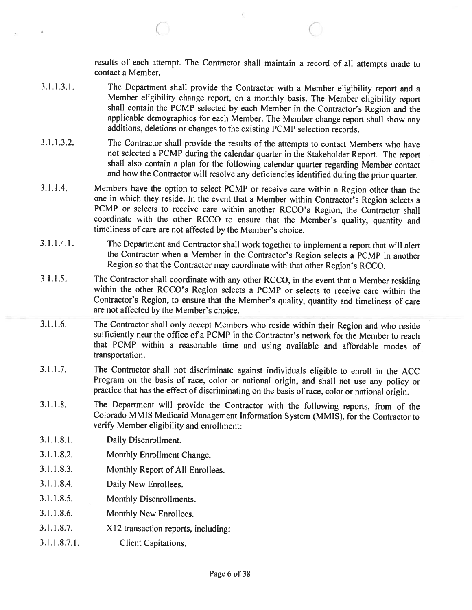results of each attempt. The Contractor shall maintain <sup>a</sup> record of all attempts made to contact <sup>a</sup> Member.

3.1.1.3.1. The Department shall provide the Contractor with <sup>a</sup> Member eligibility report and <sup>a</sup> Member eligibility change report, on <sup>a</sup> monthly basis. The Member eligibility report shall contain the PCMP selected by each Member in the Contractor's Region and the applicable demographics for each Member. The Member change report shall show any additions, deletions or changes to the existing PCMP selection records.

C C

- 3.1.1.3.2. The Contractor shall provide the results of the attempts to contact Members who have not selected <sup>a</sup> PCMP during the calendar quarter in the Stakeholder Report. The report shall also contain <sup>a</sup> <sup>p</sup>lan for the following calendar quarter regarding Member contact and how the Contractor will resolve any deficiencies identified during the prior quarter.
- 3.1.1.4. Members have the option to select PCMP or receive care within <sup>a</sup> Region other than the one in which they reside. In the event that <sup>a</sup> Member within Contractor's Region selects <sup>a</sup> PCMP or selects to receive care within another RCCO's Region, the Contractor shall coordinate with the other RCCO to ensure that the Member's quality, quantity and timeliness of care are not affected by the Member's choice.
- 3.1.1.4.1. The Department and Contractor shall work together to implement <sup>a</sup> report that will alert the Contractor when <sup>a</sup> Member in the Contractor's Region selects <sup>a</sup> PCMP in another Region so that the Contractor may coordinate with that other Region's RCCO.
- 3.1.1.5. The Contractor shall coordinate with any other RCCO, in the event that <sup>a</sup> Member residing within the other RCCO's Region selects <sup>a</sup> PCMP or selects to receive care within the Contractor's Region, to ensure that the Member's quality, quantity and timeliness of care are not affected by the Member's choice.
- 3.1.1.6. The Contractor shall only accept Members who reside within their Region and who reside sufficiently near the office of <sup>a</sup> PCMP in the Contractor's network for the Member to reach that PCMP within <sup>a</sup> reasonable time and using available and affordable modes of transportation.
- 3.1.1.7. The Contractor shall not discriminate against individuals eligible to enroll in the ACC Program on the basis of race, color or national origin, and shall not use any policy or practice that has the effect of discriminating on the basis of race, color or national origin.
- 3.1 .1 .8. The Department will provide the Contractor with the following reports, from of the Colorado MMIS Medicaid Management Information System (MM IS), for the Contractor to verify Member eligibility and enrollment:
- 3.1.1.8.1. Daily Disenroilment.
- 3.1 .1.8.2. Monthly Enrollment Change.
- 3.1.1.8.3. Monthly Report of All Enrollees.
- 3.1.1.8.4. Daily New Enrollees.
- 3.1.1.8.5. Monthly Disenrollments.
- 3.1.1.8.6. Monthly New Enrollees.
- 3.1.1.8.7. X12 transaction reports, including:
- 3.1.1.8.7.1. Client Capitations.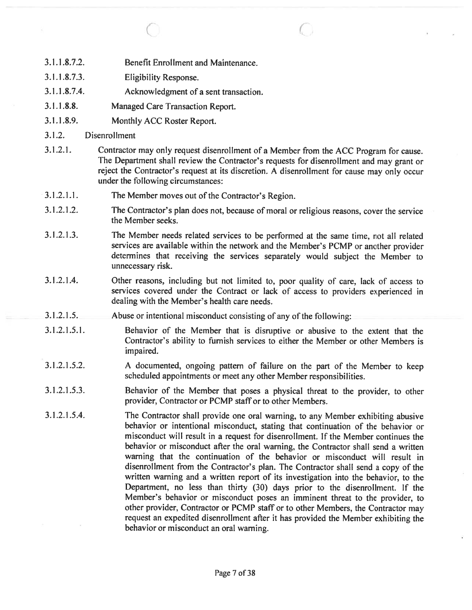- 3.1.1.8.7.2. Benefit Enrollment and Maintenance.
- 3.1.1.8.7.3. Eligibility Response.
- 3.1.1.8.7.4. Acknowledgment of <sup>a</sup> sent transaction.
- 3.1.1.8.8. Managed Care Transaction Report.
- 3.1.1.8.9. Monthly ACC Roster Report.
- 3.1 .2. Disenrollment
- 3.1.2.1. Contractor may only reques<sup>t</sup> disenrollment of <sup>a</sup> Member from the ACC Program for cause. The Department shall review the Contractor's requests for disenroliment and may gran<sup>t</sup> or reject the Contractor's reques<sup>t</sup> at its discretion. <sup>A</sup> disenroilment for cause may only occur under the following circumstances:

 $\circ$   $\circ$   $\circ$   $\circ$ 

- 3.1.2.1.1. The Member moves out of the Contractor's Region.
- 3.1.2.1.2. The Contractor's <sup>p</sup>lan does not, because of moral or religious reasons, cover the service the Member seeks.
- 3.1 .2.1 .3. The Member needs related services to be performed at the same time, not all related services are available within the network and the Member's PCMP or another provider determines that receiving the services separately would subject the Member to unnecessary risk.
- 3.1.2.1.4. Other reasons, including but not limited to, poor quality of care, lack of access to services covered under the Contract or lack of access to providers experienced in dealing with the Member's health care needs.
- 3.1.2.1.5. Abuse or intentional misconduct consisting of any of the following:
- 3.1.2.1.5.1. Behavior of the Member that is disruptive or abusive to the extent that the Contractor's ability to furnish services to either the Member or other Members is impaired.
- 3.1.2.1.5.2. <sup>A</sup> documented, ongoing pattern of failure on the par<sup>t</sup> of the Member to keep scheduled appointments or meet any other Member responsibilities.
- 3.1.2.1.5.3. Behavior of the Member that poses <sup>a</sup> <sup>p</sup>hysical threat to the provider, to other provider, Contractor or PCMP staff or to other Members.
- 3.1 .2.1 .5.4. The Contractor shall provide one oral warning, to any Member exhibiting abusive behavior or intentional misconduct, stating that continuation of the behavior or misconduct will result in <sup>a</sup> reques<sup>t</sup> for disenrollment. If the Member continues the behavior or misconduct after the oral warning, the Contractor shall send <sup>a</sup> written warning that the continuation of the behavior or misconduct will result in disenroliment from the Contractor's <sup>p</sup>lan. The Contractor shall send <sup>a</sup> copy of the written warning and <sup>a</sup> written repor<sup>t</sup> of its investigation into the behavior, to the Department, no less than thirty (30) days prior to the disenrollment. If the Member's behavior or misconduct poses an imminent threat to the provider, to other provider, Contractor or PCMP staff or to other Members, the Contractor may reques<sup>t</sup> an expedited disenrollrnent after it has provided the Member exhibiting the behavior or misconduct an oral warning.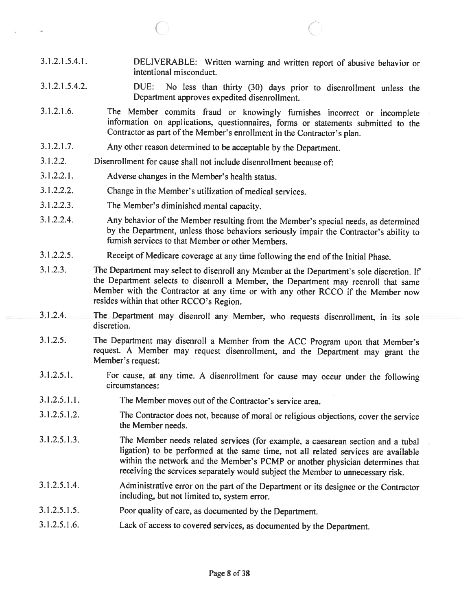- 3.1.2.1.5.4.1. DELIVERABLE: Written warning and written report of abusive behavior or intentional misconduct.
- 3.1.2.1.5.4.2. DUE: No less than thirty (30) days prior to disenroliment unless the Department approves expedited disenrollment.
- 3.1.2.1.6. The Member commits fraud or knowingly furnishes incorrect or incomplete information on applications, questionnaires, forms or statements submitted to the Contractor as part of the Member's enrollment in the Contractor's <sup>p</sup>lan.
- 3.1.2.1.7. Any other reason determined to be acceptable by the Department.
- 3.1.2.2. Disenrollment for cause shall not include disenroliment because of:
- 3.1.2.2.1. Adverse changes in the Member's health status.

C

- 3.1.2.2.2. Change in the Member's utilization of medical services.
- 3.1.2.2.3. The Member's diminished mental capacity.
- 3.1.2.2.4. Any behavior of the Member resulting from the Member's special needs, as determined by the Department, unless those behaviors seriously impair the Contractor's ability to furnish services to that Member or other Members.
- 3.1.2.2.5. Receipt of Medicare coverage at any time following the end of the Initial Phase.
- 3.1.2.3. The Department may select to disenroll any Member at the Department's sole discretion. If the Department selects to disenroll <sup>a</sup> Member, the Department may reenroll that same Member with the Contractor at any time or with any other RCCO if the Member now resides within that other RCCO's Region.
- 3.1.2.4. The Department may disenroll any Member, who requests disenrollment, in its sole discretion.
- 3.1 .2.5. The Department may disenroll <sup>a</sup> Member from the ACC Program upon that Member's request. A Member may request disenrollment, and the Department may grant the Member's request:
- 3.1.2.5.1. For cause, at any time. <sup>A</sup> disenrollment for cause may occur under the following circumstances:
- 3.1.2.5.1.1. The Member moves out of the Contractor's service area.
- 3.1.2.5.1.2. The Contractor does not, because of moral or religious objections, cover the service the Member needs.
- 3.1.2.5.1.3. The Member needs related services (for example, <sup>a</sup> caesarean section and <sup>a</sup> tubal ligation) to be performed at the same time, not all related services are available within the network and the Member's PCMP or another <sup>p</sup>hysician determines that receiving the services separately would subject the Member to unnecessary risk.
- 3.1.2.5.1.4. Administrative error on the part of the Department or its designee or the Contractor including, but not limited to, system error.
- 3.1.2.5.1.5. Poor quality of care, as documented by the Department.
- 3.1.2.5.1.6. Lack of access to covered services, as documented by the Department.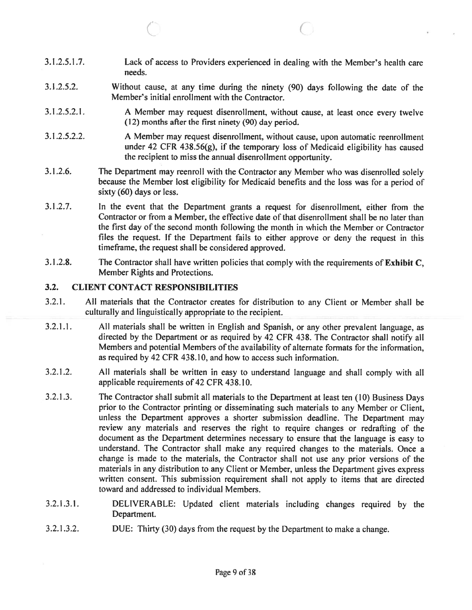3.1.2.5.1.7. Lack of access to Providers experienced in dealing with the Member's health care needs.

C C

- 3.1.2.5.2. Without cause, at any time during the ninety (90) days following the date of the Member's initial enrollment with the Contractor.
- 3.1.2.5.2.1. <sup>A</sup> Member may reques<sup>t</sup> disenroilment, without cause, at least once every twelve (12) months after the first ninety (90) day period.
- 3.1.2.5.2.2. A Member may reques<sup>t</sup> disenroilment, without cause, upon automatic reenroilment under 42 CFR 438.56(g), if the temporary loss of Medicaid eligibility has caused the recipient to miss the annual disenroilment opportunity.
- 3.1.2.6. The Department may reenroll with the Contractor any Member who was disenrolled solely because the Member lost eligibility for Medicaid benefits and the loss was for <sup>a</sup> period of sixty (60) days or less.
- 3.1.2.7. In the event that the Department grants <sup>a</sup> reques<sup>t</sup> for disenrollment, either from the Contractor or from <sup>a</sup> Member, the effective date of that disenroilment shall be no later than the first day of the second month following the month in which the Member or Contractor files the request. If the Department fails to either approve or deny the reques<sup>t</sup> in this timeframe, the reques<sup>t</sup> shall be considered approved.
- 3.1.2.8. The Contractor shall have written policies that comply with the requirements of Exhibit C, Member Rights and Protections.

#### 3.2. CLIENT CONTACT RESPONSIBILITIES

- 3.2.1. All materials that the Contractor creates for distribution to any Client or Member shall be culturally and linguistically appropriate to the recipient.
- 3.2.1.1. All materials shall be written in English and Spanish, or any other prevalent language, as directed by the Department or as required by <sup>42</sup> CFR 438. The Contractor shall notify all Members and potential Members of the availability of alternate formats for the information, as required by 42 CFR 438.10, and how to access such information.
- 3.2.1.2. All materials shall be written in easy to understand language and shall comply with all applicable requirements of 42 CFR 438.10.
- 3.2.1.3. The Contractor shall submit all materials to the Department at least ten (10) Business Days prior to the Contractor printing or disseminating such materials to any Member or Client, unless the Department approves <sup>a</sup> shorter submission deadline. The Department may review any materials and reserves the right to require changes or redrafting of the document as the Department determines necessary to ensure that the language is easy to understand. The Contractor shall make any required changes to the materials. Once <sup>a</sup> change is made to the materials, the Contractor shall not use any prior versions of the materials in any distribution to any Client or Member, unless the Department <sup>g</sup>ives express written consent. This submission requirement shall not apply to items that are directed toward and addressed to individual Members.
- 3.2.1.3.1. DELIVERABLE: Updated client materials including changes required by the Department.
- 3.2.1.3.2. DUE: Thirty (30) days from the reques<sup>t</sup> by the Department to make <sup>a</sup> change.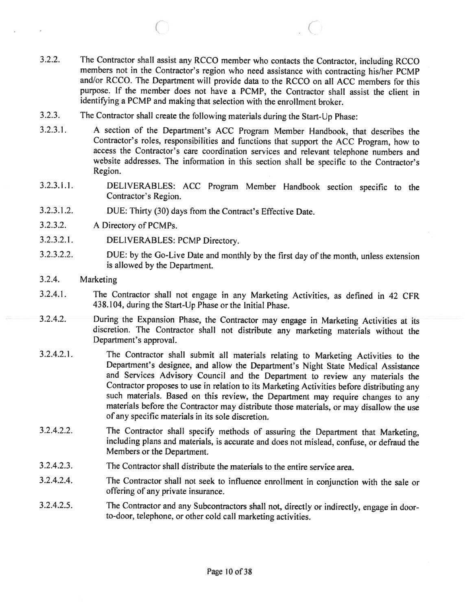- 3.2.2. The Contractor shall assist any RCCO member who contacts the Contractor, including RCCO members not in the Contractor's region who need assistance with contracting his/her PCMP and/or RCCO. The Department will provide data to the RCCO on all ACC members for this purpose. If the member does not have <sup>a</sup> PCMP, the Contractor shall assist the client in identifying <sup>a</sup> PCMP and making that selection with the enrollment broker.
- 3.2.3. The Contractor shall create the following materials during the Start-Up Phase:
- 3.2.3.1. <sup>A</sup> section of the Department's ACC Program Member Handbook, that describes the Contractor's roles, responsibilities and functions that support the ACC Program, how to access the Contractor's care coordination services and relevant telephone numbers and website addresses. The information in this section shall be specific to the Contractor's Region.
- 3.2.3.1.1. DELIVERABLES: ACC Program Member Handbook section specific to the Contractor's Region.
- 3.2.3.1.2. DUE: Thirty (30) days from the Contract's Effective Date.
- 3.2.3.2. A Directory of PCMPs.
- 3.2.3.2.1. DELIVERABLES: PCMP Directory.
- 3.2.3.2.2. DUE: by the Go-Live Date and monthly by the first day of the month, unless extension is allowed by the Department.
- 3.2.4. Marketing
- 3.2.4.1. The Contractor shall not engage in any Marketing Activities, as defined in <sup>42</sup> CFR 438.104, during the Start-Up Phase or the Initial Phase.
- 3.2.4.2. During the Expansion Phase, the Contractor may engage in Marketing Activities at its discretion. The Contractor shall not distribute any marketing materials without the Department's approval.
- 3.2.4.2.1. The Contractor shall submit all materials relating to Marketing Activities to the Department's designee, and allow the Department's Night State Medical Assistance and Services Advisory Council and the Department to review any materials the Contractor proposes to use in relation to its Marketing Activities before distributing any such materials. Based on this review, the Department may require changes to any materials before the Contractor may distribute those materials, or may disallow the use of any specific materials in its sole discretion.
- 3.2.4.2.2. The Contractor shall specify methods of assuring the Department that Marketing, including <sup>p</sup>lans and materials, is accurate and does not mislead, confuse, or defraud the Members or the Department.
- 3.2.4.2.3. The Contractor shall distribute the materials to the entire service area.
- 3.2.4.2.4. The Contractor shall not seek to influence enrollment in conjunction with the sale or offering of any private insurance.
- 3.2.4.2.5. The Contractor and any Subcontractors shall not, directly or indirectly, engage in door to-door, telephone, or other cold call marketing activities.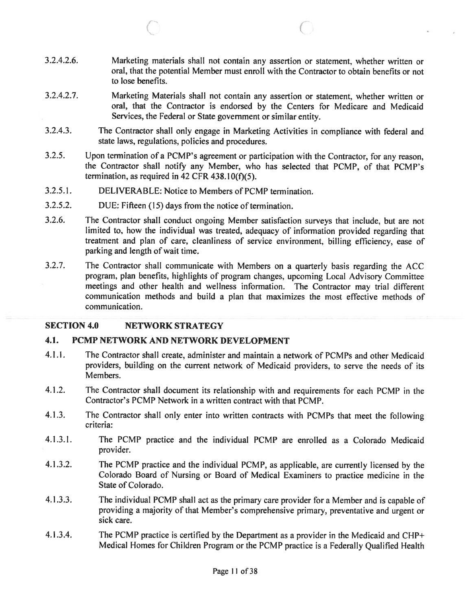3.2.4.2.6. Marketing materials shall not contain any assertion or statement, whether written or oral, that the potential Member must enroll with the Contractor to obtain benefits or not to lose benefits.

 $\circ$  c

- 3.2.4.2.7. Marketing Materials shall not contain any assertion or statement, whether written or oral, that the Contractor is endorsed by the Centers for Medicare and Medicaid Services, the Federal or State governmen<sup>t</sup> or similar entity.
- 3.2.4.3. The Contractor shall only engage in Marketing Activities in compliance with federal and state laws, regulations, policies and procedures.
- 3.2.5. Upon termination of <sup>a</sup> PCMP's agreemen<sup>t</sup> or participation with the Contractor, for any reason, the Contractor shall notify any Member, who has selected that PCMP, of that PCMP's termination, as required in 42 CFR  $438.10(f)(5)$ .
- 3.2.5.1. DELIVERABLE: Notice to Members of PCMP termination.
- 3.2.5.2. DUE: Fifteen (15) days from the notice of termination.
- 3.2.6. The Contractor shall conduct ongoing Member satisfaction surveys that include, but are not limited to, how the individual was treated, adequacy of information provided regarding that treatment and <sup>p</sup>lan of care, cleanliness of service environment, billing efficiency, ease of parking and length of wait time.
- 3.2.7. The Contractor shall communicate with Members on <sup>a</sup> quarterly basis regarding the ACC program, <sup>p</sup>lan benefits, highlights of program changes, upcoming Local Advisory Committee meetings and other health and wellness information. The Contractor may trial different communication methods and build <sup>a</sup> plan that maximizes the most effective methods of communication.

#### SECTION 4.0 NETWORK STRATEGY

#### 4.1. PCMP NETWORK AND NETWORK DEVELOPMENT

- 4.1.1. The Contractor shall create, administer and maintain <sup>a</sup> network of PCMPs and other Medicaid providers, building on the current network of Medicaid providers, to serve the needs of its Members.
- 4.1.2. The Contractor shall document its relationship with and requirements for each PCMP in the Contractor's PCMP Network in <sup>a</sup> written contract with that PCMP.
- 4.1.3. The Contractor shall only enter into written contracts with PCMPs that meet the following criteria:
- 4.1.3.1. The PCMP practice and the individual PCMP are enrolled as <sup>a</sup> Colorado Medicaid provider.
- 4.1.3.2. The PCMP practice and the individual PCMP, as applicable, are currently licensed by the Colorado Board of Nursing or Board of Medical Examiners to practice medicine in the State of Colorado.
- 4.1 .3.3. The individual PCMP shall act as the primary care provider for <sup>a</sup> Member and is capable of providing <sup>a</sup> majority of that Member's comprehensive primary, preventative and urgen<sup>t</sup> or sick care.
- 4.1.3.4. The PCMP practice is certified by the Department as <sup>a</sup> provider in the Medicaid and CHP+ Medical Homes for Children Program or the PCMP practice is <sup>a</sup> Federally Qualified Health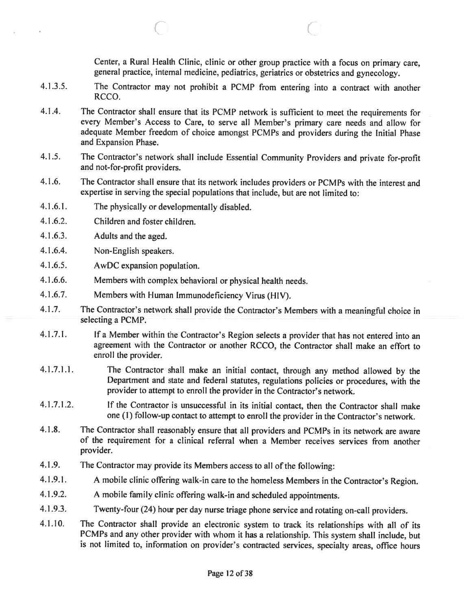Center, <sup>a</sup> Rural Health Clinic, clinic or other group practice with <sup>a</sup> focus on primary care, genera<sup>l</sup> practice, internal medicine, pediatrics, geriatrics or obstetrics and gynecology.

4.1.3.5. The Contractor may not prohibit <sup>a</sup> PCMP from entering into <sup>a</sup> contract with another RCCO.

C C

- 4.1.4. The Contractor shall ensure that its PCMP network is sufficient to meet the requirements for every Member's Access to Care, to serve all Member's primary care needs and allow for adequate Member freedom of choice amongs<sup>t</sup> PCMPs and providers during the Initial Phase and Expansion Phase.
- 4.1.5. The Contractor's network shall include Essential Community Providers and private for-profit and not-for-profit providers.
- 4.1 .6. The Contractor shall ensure that its network includes providers or PCMPs with the interest and expertise in serving the special populations that include, but are not limited to:
- 4.1.6.1. The <sup>p</sup>hysically or developmentally disabled.
- 4.1.6.2. Children and foster children.
- 4.1.6.3. Adults and the aged.
- 4.1.6.4. Non-English speakers.
- 4.1.6.5. AwDC expansion population.
- 4.1 .6.6. Members with complex behavioral or <sup>p</sup>hysical health needs.
- 4.1.6.7. Members with Human Immunodeficiency Virus (HIV).
- 4.1.7. The Contractor's network shall provide the Contractor's Members with <sup>a</sup> meaningful choice in selecting <sup>a</sup> PCMP.
- 4.1 .7.1. If <sup>a</sup> Member within the Contractor's Region selects <sup>a</sup> provider that has not entered into an agreemen<sup>t</sup> with the Contractor or another RCCO, the Contractor shall make an effort to enroll the provider.
- 4.1.7.1.1. The Contractor shall make an initial contact, through any method allowed by the Department and state and federal statutes, regulations policies or procedures, with the provider to attempt to enroll the provider in the Contractor's network.
- 4.1 .7.1.2. If the Contractor is unsuccessful in its initial contact, then the Contractor shall make one (1) follow-up contact to attempt to enroll the provider in the Contractor's network.
- 4.1.8. The Contractor shall reasonably ensure that all providers and PCMPs in its network are aware of the requirement for <sup>a</sup> clinical referral when <sup>a</sup> Member receives services from another provider.
- 4.1.9. The Contractor may provide its Members access to all of the following:
- 4.1 .9.1. <sup>A</sup> mobile clinic offering walk-in care to the homeless Members in the Contractor's Region.
- 4.1 .9.2. <sup>A</sup> mobile family clinic offering walk-in and scheduled appointments.
- 4.1.9.3. Twenty-four (24) hour per day nurse triage <sup>p</sup>hone service and rotating on-call providers.
- 4.1.10. The Contractor shall provide an electronic system to track its relationships with all of its PCMPs and any other provider with whom it has <sup>a</sup> relationship. This system shall include, but is not limited to, information on provider's contracted services, specialty areas, office hours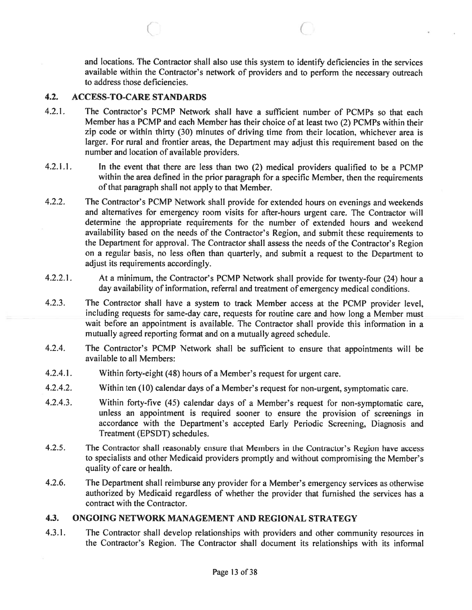and locations. The Contractor shall also use this system to identify deficiencies in the services available within the Contractor's network of providers and to perform the necessary outreach to address those deficiencies.

#### 4.2. ACCESS-TO-CARE STANDARDS

4.2.1. The Contractor's PCMP Network shall have <sup>a</sup> sufficient number of PCMPs so that each Member has <sup>a</sup> PCMP and each Member has their choice of at least two (2) PCMPs within their zip code or within thirty (30) minutes of driving time from their location, whichever area is larger. For rural and frontier areas, the Department may adjust this requirement based on the number and location of available providers.

C C

- 4.2.1.1. In the event that there are less than two (2) medical providers qualified to be <sup>a</sup> PCMP within the area defined in the prior paragraph for <sup>a</sup> specific Member, then the requirements of that paragraph shall not apply to that Member.
- 4.2.2. The Contractor's PCMP Network shall provide for extended hours on evenings and weekends and alternatives for emergency room visits for after-hours urgen<sup>t</sup> care. The Contractor will determine the appropriate requirements for the number of extended hours and weekend availability based on the needs of the Contractor's Region, and submit these requirements to the Department for approval. The Contractor shall assess the needs of the Contractor's Region on <sup>a</sup> regular basis, no less often than quarterly, and submit <sup>a</sup> reques<sup>t</sup> to the Department to adjust its requirements accordingly.
- 4.2.2.1. At <sup>a</sup> minimum, the Contractor's PCMP Network shall provide for twenty-four (24) hour <sup>a</sup> day availability of information, referral and treatment of emergency medical conditions.
- 4.2.3. The Contractor shall have <sup>a</sup> system to track Member access at the PCMP provider level, including requests for same-day care, requests for routine care and how long <sup>a</sup> Member must wait before an appointment is available. The Contractor shall provide this information in <sup>a</sup> mutually agreed reporting format and on <sup>a</sup> mutually agreed schedule.
- 4.2.4. The Contractor's PCMP Network shall be sufficient to ensure that appointments will be available to all Members:
- 4.2.4.1. Within forty-eight (48) hours of <sup>a</sup> Member's reques<sup>t</sup> for urgen<sup>t</sup> care.
- 4.2.4.2. Within ten (10) calendar days of <sup>a</sup> Member's reques<sup>t</sup> for non-urgent, symptomatic care.
- 4.2.4.3. Within forty-five (45) calendar days of <sup>a</sup> Member's reques<sup>t</sup> for non-symptomatic care, unless an appointment is required sooner to ensure the provision of screenings in accordance with the Department's accepted Early Periodic Screening, Diagnosis and Treatment (EPSDT) schedules.
- 4.2.5. The Contractor shall reasonably ensure that Members in the Contractor's Region have access to specialists and other Medicaid providers promptly and without compromising the Member's quality of care or health.
- 4.2.6. The Department shall reimburse any provider for <sup>a</sup> Member's emergency services as otherwise authorized by Medicaid regardless of whether the provider that furnished the services has <sup>a</sup> contract with the Contractor.

#### 4.3. ONGOING NETWORK MANAGEMENT AND REGIONAL STRATEGY

4.3.1. The Contractor shall develop relationships with providers and other community resources in the Contractor's Region. The Contractor shall document its relationships with its informal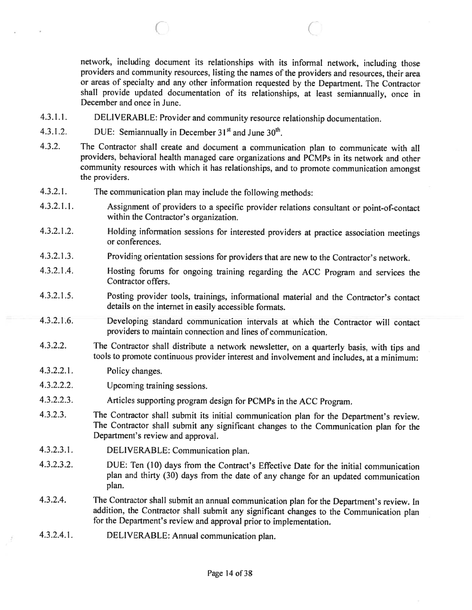network, including document its relationships with its informal network, including those providers and community resources, listing the names of the providers and resources, their area or areas of specialty and any other information requested by the Department. The Contractor shall provide updated documentation of its relationships, at least semiannually, once in December and once in June.

 $\circ$   $\circ$   $\circ$ 

- 4.3.1.1. DELIVERABLE: Provider and community resource relationship documentation.
- 4.3.1.2. DUE: Semiannually in December  $31<sup>st</sup>$  and June  $30<sup>th</sup>$ .
- 4.3.2. The Contractor shall create and document <sup>a</sup> communication <sup>p</sup>lan to communicate with all providers, behavioral health managed care organizations and PCMPs in its network and other community resources with which it has relationships, and to promote communication amongst the providers.
- 4.3.2.1. The communication <sup>p</sup>lan may include the following methods:
- 4.3.2.1.1. Assignment of providers to <sup>a</sup> specific provider relations consultant or point-of-contact within the Contractor's organization.
- 4.3.2.1.2. Holding information sessions for interested providers at practice association meetings or conferences.
- 4.3.2.1.3. Providing orientation sessions for providers that are new to the Contractor's network.
- 4.3.2.1 .4. Hosting forums for ongoing training regarding the ACC Program and services the Contractor offers.
- 4.3.2.1.5. Posting provider tools, trainings, informational material and the Contractor's contact details on the internet in easily accessible formats.
- 4.3.2.1.6. Developing standard communication intervals at which the Contractor will contact providers to maintain connection and lines of communication.
- 4.3.2.2. The Contractor shall distribute <sup>a</sup> network newsletter, on <sup>a</sup> quarterly basis, with tips and tools to promote continuous provider interest and involvement and includes, at <sup>a</sup> minimum:
- 4.3.2.2.1. Policy changes.
- 4.3.2.2.2. Upcoming training sessions.
- 4.3.2.2.3. Articles supporting program design for PCMPs in the ACC Program.
- 4.3.2.3. The Contractor shall submit its initial communication <sup>p</sup>lan for the Department's review. The Contractor shall submit any significant changes to the Communication <sup>p</sup>lan for the Department's review and approval.
- 4.3.2.3.1. DELIVERABLE: Communication <sup>p</sup>lan.
- 4.3.2.3.2. DUE: Ten (10) days from the Contract's Effective Date for the initial communication <sup>p</sup>lan and thirty (30) days from the date of any change for an updated communication plan.
- 4.3.2.4. The Contractor shall submit an annual communication <sup>p</sup>lan for the Department's review. In addition, the Contractor shall submit any significant changes to the Communication <sup>p</sup>lan for the Department's review and approval prior to implementation.
- 4.3.2.4.1. DELIVERABLE: Annual communication <sup>p</sup>lan.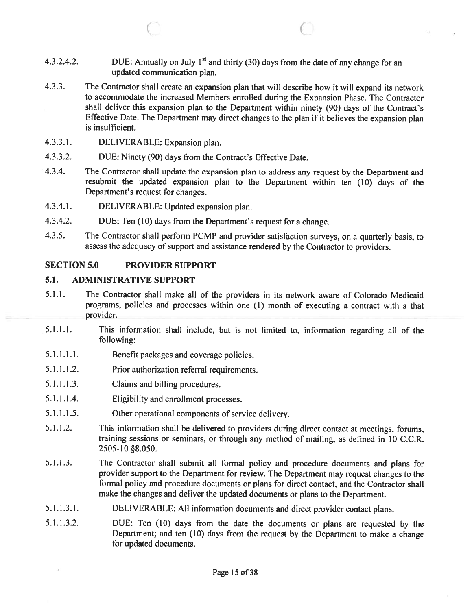4.3.2.4.2. DUE: Annually on July 1<sup>st</sup> and thirty (30) days from the date of any change for an updated communication plan.

 $\circ$   $\circ$   $\circ$ 

- 4.3.3. The Contractor shall create an expansion <sup>p</sup>lan that will describe how it will expan<sup>d</sup> its network to accommodate the increased Members enrolled during the Expansion Phase. The Contractor shall deliver this expansion <sup>p</sup>lan to the Department within ninety (90) days of the Contract's Effective Date. The Department may direct changes to the <sup>p</sup>lan if it believes the expansion <sup>p</sup>lan is insufficient.
- 4.3.3.1. DELIVERABLE: Expansion plan.
- 4.3.3.2. DUE: Ninety (90) days from the Contract's Effective Date.
- 4.3.4. The Contractor shall update the expansion <sup>p</sup>lan to address any reques<sup>t</sup> by the Department and resubmit the updated expansion <sup>p</sup>lan to the Department within ten (10) days of the Department's reques<sup>t</sup> for changes.
- 4.3.4.1. DELIVERABLE: Updated expansion <sup>p</sup>lan.
- 4.3.4.2. DUE: Ten (10) days from the Department's reques<sup>t</sup> for <sup>a</sup> change.
- 4.3.5. The Contractor shall perform PCMP and provider satisfaction surveys, on <sup>a</sup> quarterly basis, to assess the adequacy of suppor<sup>t</sup> and assistance rendered by the Contractor to providers.

#### SECTION 5.0 PROVIDER SUPPORT

# 5.1. ADMINISTRATIVE SUPPORT

- 5.1.1. The Contractor shall make all of the providers in its network aware of Colorado Medicaid programs, policies and processes within one (1) month of executing <sup>a</sup> contract with <sup>a</sup> that provider.
- 5.1.1.1. This information shall include, but is not limited to, information regarding all of the following:
- 5.1.1 .1.1. Benefit packages and coverage policies.
- 5.1 .1 .1.2. Prior authorization referral requirements.
- 5.1.1.1.3. Claims and billing procedures.
- 5.1.1.1.4. Eligibility and enrollment processes.
- 5.1.1.1.5. Other operational components of service delivery.
- 5.1.1.2. This information shall be delivered to providers during direct contact at meetings, forums, training sessions or seminars, or through any method of mailing, as defined in 10 C.C.R. 2505-10 §8.050.
- 5.1.1.3. The Contractor shall submit all formal policy and procedure documents and <sup>p</sup>lans for provider suppor<sup>t</sup> to the Department for review. The Department may reques<sup>t</sup> changes to the formal policy and procedure documents or <sup>p</sup>lans for direct contact, and the Contractor shall make the changes and deliver the updated documents or <sup>p</sup>lans to the Department.
- 5.1.1.3.1. DELIVERABLE: All information documents and direct provider contact <sup>p</sup>lans.
- 5.1.1.3.2. DUE: Ten (10) days from the date the documents or <sup>p</sup>lans are requested by the Department; and ten (10) days from the reques<sup>t</sup> by the Department to make <sup>a</sup> change for updated documents.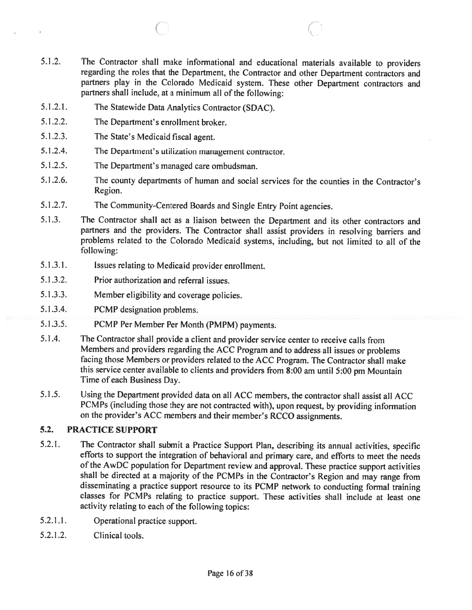5.1.2. The Contractor shall make informational and educational materials available to providers regarding the roles that the Department, the Contractor and other Department contractors and partners <sup>p</sup>lay in the Colorado Medicaid system. These other Department contractors and partners shall include, at <sup>a</sup> minimum all of the following:

 $\circ$   $\circ$   $\circ$   $\circ$ 

- 5.1.2.1. The Statewide Data Analytics Contractor (SDAC).
- 5.1.2.2. The Department's enrollment broker.
- 5.1.2.3. The State's Medicaid fiscal agent.
- 5.1.2.4. The Department's utilization management contractor.
- 5.1.2.5. The Department's managed care ombudsman.
- 5.1.2.6. The county departments of human and social services for the counties in the Contractor's Region.
- 5.1.2.7. The Community-Centered Boards and Single Entry Point agencies.
- 5.1 .3. The Contractor shall act as <sup>a</sup> liaison between the Department and its other contractors and partners and the providers. The Contractor shall assist providers in resolving barriers and problems related to the Colorado Medicaid systems, including, but not limited to all of the following:
- 5.1.3.1. Issues relating to Medicaid provider enrollment.
- 5.1.3.2. Prior authorization and referral issues.
- 5.1 .3.3. Member eligibility and coverage policies.
- 5.1.3.4. PCMP designation problems.
- 5.1.3.5. PCMP Per Member Per Month (PMPM) payments.
- 5.1.4. The Contractor shall provide <sup>a</sup> client and provider service center to receive calls from Members and providers regarding the ACC Program and to address all issues or problems facing those Members or providers related to the ACC Program. The Contractor shall make this service center available to clients and providers from 8:00 am until 5:00 pm Mountain Time of each Business Day.
- 5.1.5. Using the Department provided data on all ACC members, the contractor shall assist all ACC PCMPs (including those they are not contracted with), upon request, by providing information on the provider's ACC members and their member's RCCO assignments.

# 5.2. PRACTICE SUPPORT

- 5.2.1. The Contractor shall submit <sup>a</sup> Practice Support Plan, describing its annual activities, specific efforts to support the integration of behavioral and primary care, and efforts to meet the needs of the AwDC population for Department review and approval. These practice support activities shall be directed at <sup>a</sup> majority of the PCMPs in the Contractor's Region and may range from disseminating <sup>a</sup> practice support resource to its PCMP network to conducting formal training classes for PCMPs relating to practice support. These activities shall include at least one activity relating to each of the following topics:
- 5.2.1.1. Operational practice support.
- 5.2.1 .2. Clinical tools.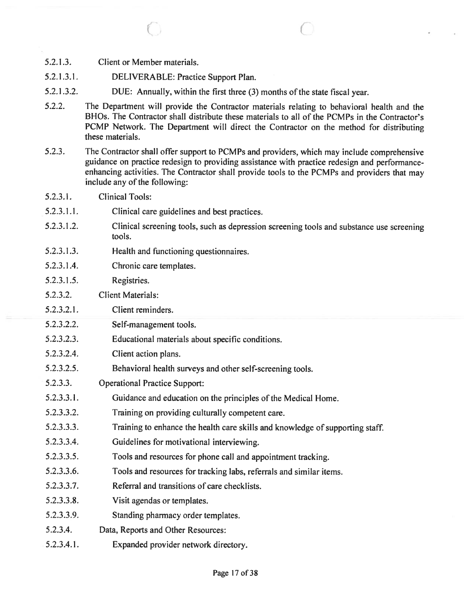- 5.2.1.3. Client or Member materials.
- 5.2.1 .3.1. DELIVERABLE: Practice Support Plan.
- 5.2.1.3.2. DUE: Annually, within the first three (3) months of the state fiscal year.
- 5.2.2. The Department will provide the Contractor materials relating to behavioral health and the BHOs. The Contractor shall distribute these materials to all of the PCMPs in the Contractor's PCMP Network. The Department will direct the Contractor on the method for distributing these materials.

 $\circ$   $\circ$   $\circ$   $\circ$ 

- 5.2.3. The Contractor shall offer suppor<sup>t</sup> to PCMPs and providers, which may include comprehensive guidance on practice redesign to providing assistance with practice redesign and performanceenhancing activities. The Contractor shall provide tools to the PCMPs and providers that may include any of the following:
- 5.2.3.1. Clinical Tools:
- 5.2.3.1.1. Clinical care guidelines and best practices.
- 5.2.3.1 .2. Clinical screening tools, such as depression screening tools and substance use screening tools.
- 5.2.3.1.3. Health and functioning questionnaires.
- 5.2.3.1.4. Chronic care templates.
- 5.2.3.1.5. Registries.
- 5.2.3.2. Client Materials:
- 5.2.3.2.1. Client reminders.
- 5.2.3.2.2. Self-management tools.
- 5.2.3.2.3. Educational materials about specific conditions.
- 5.2.3.2.4. Client action plans.
- 5.2.3.2.5. Behavioral health surveys and other self-screening tools.
- 5.2.3.3. Operational Practice Support:
- 5.2.3.3.1. Guidance and education on the principles of the Medical Home.
- 5.2.3.3.2. Training on providing culturally competent care.
- 5.2.3.3.3. Training to enhance the health care skills and knowledge of supporting staff.
- 5.2.3.3.4. Guidelines for motivational interviewing.
- 5.2.3.3.5. Tools and resources for <sup>p</sup>hone call and appointment tracking.
- 5.2.3.3.6. Tools and resources for tracking labs, referrals and similar items.
- 5.2.3.3.7. Referral and transitions of care checklists.
- 5.2.3.3.8. Visit agendas or templates.
- 5.2.3.3.9. Standing pharmacy order templates.
- 5.2.3.4. Data, Reports and Other Resources:
- 5.2.3.4.1. Expanded provider network directory.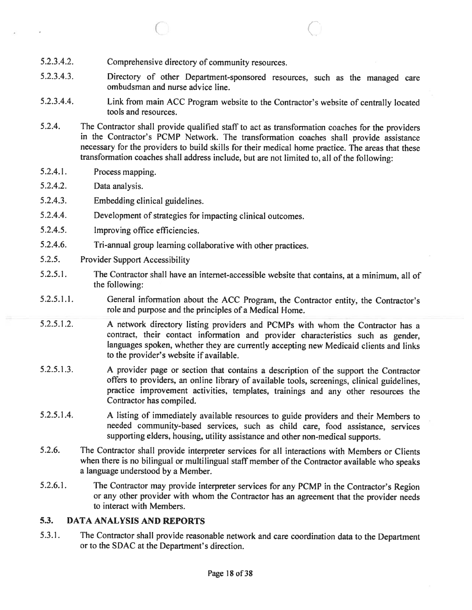- 5.2.3.4.2. Comprehensive directory of community resources.
- 5.2.3.4.3. Directory of other Department-sponsored resources, such as the managed care ombudsman and nurse advice line.

 $\circ$  C

- 5.2.3.4.4. Link from main ACC Program website to the Contractor's website of centrally located tools and resources.
- 5.2.4. The Contractor shall provide qualified staff to act as transformation coaches for the providers in the Contractor's PCMP Network. The transformation coaches shall provide assistance necessary for the providers to build skills for their medical home practice. The areas that these transformation coaches shall address include, but are not limited to, all of the following:
- 5.2.4.1. Process mapping.
- 5.2.4.2. Data analysis.
- 5.2.4.3. Embedding clinical guidelines.
- 5.2.4.4. Development of strategies for impacting clinical outcomes.
- 5.2.4.5. Improving office efficiencies.
- 5.2.4.6. Tri-annual group learning collaborative with other practices.
- 5.2.5. Provider Support Accessibility
- 5.2.5.1. The Contractor shall have an internet-accessible website that contains, at <sup>a</sup> minimum, all of the following:
- 5.2.5.1.1. General information about the ACC Program, the Contractor entity, the Contractor's role and purpose and the principles of <sup>a</sup> Medical Home.
- 5.2.5.1 .2. <sup>A</sup> network directory listing providers and PCMPs with whom the Contractor has <sup>a</sup> contract, their contact information and provider characteristics such as gender, languages spoken, whether they are currently accepting new Medicaid clients and links to the provider's website if available.
- 5.2.5.1 .3. <sup>A</sup> provider page or section that contains <sup>a</sup> description of the support the Contractor offers to providers, an online library of available tools, screenings, clinical guidelines, practice improvement activities, templates, trainings and any other resources the Contractor has compiled.
- 5.2.5.1 .4. <sup>A</sup> listing of immediately available resources to guide providers and their Members to needed community-based services, such as child care, food assistance, services supporting elders, housing, utility assistance and other non-medical supports.
- 5.2.6. The Contractor shall provide interpreter services for all interactions with Members or Clients when there is no bilingual or multilingual staff member of the Contractor available who speaks <sup>a</sup> language understood by <sup>a</sup> Member.
- 5.2.6.1. The Contractor may provide interpreter services for any PCMP in the Contractor's Region or any other provider with whom the Contractor has an agreement that the provider needs to interact with Members.

# 5.3. DATA ANALYSIS AND REPORTS

5.3.1. The Contractor shall provide reasonable network and care coordination data to the Department or to the SDAC at the Department's direction.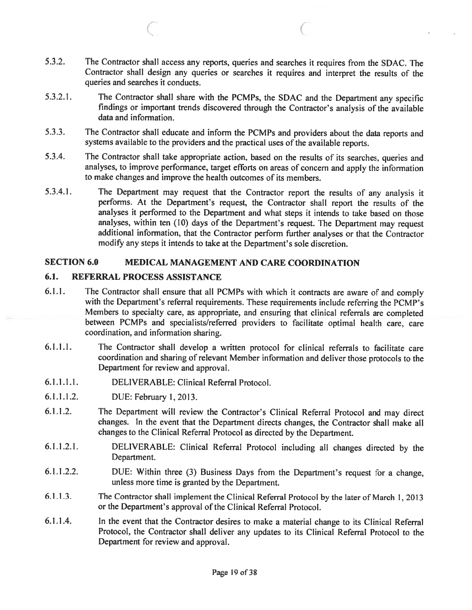5.3.2. The Contractor shall access any reports, queries and searches it requires from the SDAC. The Contractor shall design any queries or searches it requires and interpret the results of the queries and searches it conducts.

C C

- 5.3.21. The Contractor shall share with the PCMPs, the SDAC and the Department any specific findings or important trends discovered through the Contractor's analysis of the available data and information.
- 5.3.3. The Contractor shall educate and inform the PCMPs and providers about the data reports and systems available to the providers and the practical uses of the available reports.
- 5.3.4. The Contractor shall take appropriate action, based on the results of its searches, queries and analyses, to improve performance, target efforts on areas of concern and apply the information to make changes and improve the health outcomes of its members.
- 5.3.4.1. The Department may reques<sup>t</sup> that the Contractor repor<sup>t</sup> the results of any analysis it performs. At the Department's request, the Contractor shall repor<sup>t</sup> the results of the analyses it performed to the Department and what steps it intends to take based on those analyses, within ten (10) days of the Department's request. The Department may reques<sup>t</sup> additional information, that the Contractor perform further analyses or that the Contractor modify any steps it intends to take at the Department's sole discretion.

#### SECTION 6.0 MEDICAL MANAGEMENT AND CARE COORDINATION

# 6.1. REFERRAL PROCESS ASSISTANCE

- 6.1.1. The Contractor shall ensure that all PCMPs with which it contracts are aware of and comply with the Department's referral requirements. These requirements include referring the PCMP's Members to specialty care, as appropriate, and ensuring that clinical referrals are completed between PCMPs and specialists/referred providers to facilitate optimal health care, care coordination, and information sharing.
- 6.1.1 .1. The Contractor shall develop <sup>a</sup> written protocol for clinical referrals to facilitate care coordination and sharing of relevant Member information and deliver those protocols to the Department for review and approval.
- 6.1.1.1.1. DELIVERABLE: Clinical Referral Protocol.
- 6.1.1.1.2. DUE: February 1,2013.
- 6.1.1.2. The Department will review the Contractor's Clinical Referral Protocol and may direct changes. In the event that the Department directs changes, the Contractor shall make all changes to the Clinical Referral Protocol as directed by the Department.
- 6.1.1.2.1. DELIVERABLE: Clinical Referral Protocol including all changes directed by the Department.
- 6.1.1.2.2. DUE: Within three (3) Business Days from the Department's reques<sup>t</sup> for <sup>a</sup> change, unless more time is granted by the Department.
- 6.1.1.3. The Contractor shall implement the Clinical Referral Protocol by the later of March 1, <sup>2013</sup> or the Department's approval of the Clinical Referral Protocol.
- 6.1.1.4. In the event that the Contractor desires to make <sup>a</sup> material change to its Clinical Referral Protocol, the Contractor shall deliver any updates to its Clinical Referral Protocol to the Department for review and approval.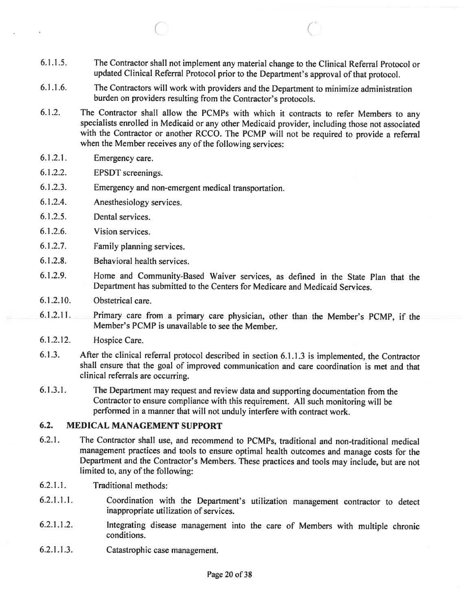6.1 .1 .5. The Contractor shall not implement any material change to the Clinical Referral Protocol or updated Clinical Referral Protocol prior to the Department's approva<sup>l</sup> of that protocol.

C C.

- 6.1.1.6. The Contractors will work with providers and the Department to minimize administration burden on providers resulting from the Contractor's protocols.
- 6.1 .2. The Contractor shall allow the PCMPs with which it contracts to refer Members to any specialists enrolled in Medicaid or any other Medicaid provider, including those not associated with the Contractor or another RCCO. The PCMP will not be required to provide <sup>a</sup> referral when the Member receives any of the following services:
- 6.1 .2.1. Emergency care.
- 6.1.2.2. EPSDT screenings.
- 6.1 .2.3. Emergency and non-emergen<sup>t</sup> medical transportation.
- 6.1 .2.4. Anesthesiology services.
- 6.1.2.5. Dental services.
- 6.1.2.6. Vision services.
- 6.1.2.7. Family planning services.
- 6.1 .2.8. Behavioral health services.
- 6.1.2.9. Home and Community-Based Waiver services, as defined in the State Plan that the Department has submitted to the Centers for Medicare and Medicaid Services.
- 6.1.2.10. Obstetrical care.
- 6.! .2.11. Primary care from <sup>a</sup> primary care <sup>p</sup>hysician, other than the Member's PCMP, if the Member's PCMP is unavailable to see the Member.
- 6.1.2.12. Hospice Care.
- 6.1.3. After the clinical referral protocol described in section 6.1.1.3 is implemented, the Contractor shall ensure that the goal of improved communication and care coordination is met and that clinical referrals are occurring.
- 6.1.3.1. The Department may reques<sup>t</sup> and review data and supporting documentation from the Contractor to ensure compliance with this requirement. All such monitoring will be performed in <sup>a</sup> manner that will not unduly interfere with contract work.

# 6.2. MEDICAL MANAGEMENT SUPPORT

- 6.2.1. The Contractor shall use, and recommend to PCMPs, traditional and non-traditional medical managemen<sup>t</sup> practices and tools to ensure optimal health outcomes and manage costs for the Department and the Contractor's Members. These practices and tools may include, but are not limited to, any of the following:
- 6.2.1.1. Traditional methods:
- 6.2.1.1.1. Coordination with the Department's utilization managemen<sup>t</sup> contractor to detect inappropriate utilization of services.
- 6.2.1.1.2. Integrating disease managemen<sup>t</sup> into the care of Members with multiple chronic conditions.
- 6.2.1 .1 .3. Catastrophic case management.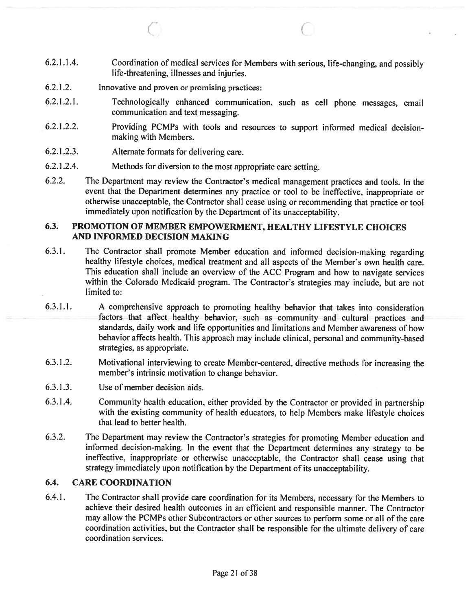6.2.1 .1 .4. Coordination of medical services for Members with serious, life-changing, and possibly life-threatening, illnesses and injuries.

 $\circ$  c

- 6.2.1.2. Innovative and proven or promising practices:
- 6.2.1.2.1. Technologically enhanced communication, such as cell <sup>p</sup>hone messages, email communication and text messaging.
- 6.2.1.2.2. Providing PCMPs with tools and resources to suppor<sup>t</sup> informed medical decisionmaking with Members.
- 6.2.1 .2.3. Alternate formats for delivering care.
- 6.2.1.2.4. Methods for diversion to the most appropriate care setting.
- 6.2.2. The Department may review the Contractor's medical managemen<sup>t</sup> practices and tools. In the event that the Department determines any practice or tool to be ineffective, inappropriate or otherwise unacceptable, the Contractor shall cease using or recommending that practice or tool immediately upon notification by the Department of its unacceptability.

# 6.3. PROMOTION OF MEMBER EMPOWERMENT, HEALTHY LIFESTYLE CHOICES AND INFORMED DECISION MAKING

- 6.3.1. The Contractor shall promote Member education and informed decision-making regarding healthy lifestyle choices, medical treatment and all aspects of the Member's own health care. This education shall include an overview of the ACC Program and how to navigate services within the Colorado Medicaid program. The Contractor's strategies may include, but are not limited to:
- 6.3.1.1. <sup>A</sup> comprehensive approac<sup>h</sup> to promoting healthy behavior that takes into consideration factors that affect healthy behavior, such as community and cultural practices and standards, daily work and life opportunities and limitations and Member awareness of how behavior affects health. This approac<sup>h</sup> may include clinical, persona<sup>l</sup> and community-based strategies, as appropriate.
- 6.3.1.2. Motivational interviewing to create Member-centered, directive methods for increasing the member's intrinsic motivation to change behavior.
- 6.3.1.3. Use of member decision aids.
- 6.3.1.4. Community health education, either provided by the Contractor or provided in partnership with the existing community of health educators, to help Members make lifestyle choices that lead to better health.
- 6.3.2. The Department may review the Contractor's strategies for promoting Member education and informed decision-making. In the event that the Department determines any strategy to be ineffective, inappropriate or otherwise unacceptable, the Contractor shall cease using that strategy immediately upon notification by the Department of its unacceptability.

# 6.4. CARE COORDINATION

6.4.1. The Contractor shall provide care coordination for its Members, necessary for the Members to achieve their desired health outcomes in an efficient and responsible manner. The Contractor may allow the PCMPs other Subcontractors or other sources to perform some or all of the care coordination activities, but the Contractor shall be responsible for the ultimate delivery of care coordination services.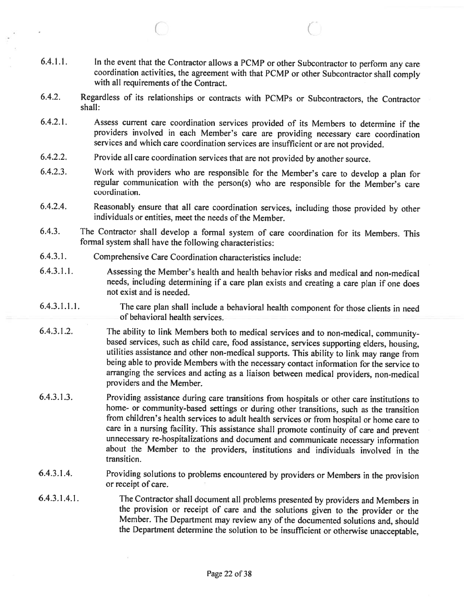6.4.1.1. In the event that the Contractor allows <sup>a</sup> PCMP or other Subcontractor to perform any care coordination activities, the agreement with that PCMP or other Subcontractor shall comply with all requirements of the Contract.

 $\circ$   $\circ$   $\circ$   $\circ$ 

- 6.4.2. Regardless of its relationships or contracts with PCMPs or Subcontractors, the Contractor shall:
- 6.4.2.1. Assess current care coordination services provided of its Members to determine if the providers involved in each Member's care are providing necessary care coordination services and which care coordination services are insufficient or are not provided.
- 6.4.2.2. Provide all care coordination services that are not provided by another source.
- 6.4.2.3. Work with providers who are responsible for the Member's care to develop <sup>a</sup> <sup>p</sup>lan for regular communication with the person(s) who are responsible for the Member's care coordination.
- 6.4.2.4. Reasonably ensure that all care coordination services, including those provided by other individuals or entities, meet the needs of the Member.
- 6.4.3. The Contractor shall develop <sup>a</sup> formal system of care coordination for its Members. This formal system shall have the following characteristics:
- 6.4.3.1. Comprehensive Care Coordination characteristics include:
- 6.4.3.1.1. Assessing the Member's health and health behavior risks and medical and non-medical needs, including determining if <sup>a</sup> care <sup>p</sup>lan exists and creating <sup>a</sup> care <sup>p</sup>lan if one does not exist and is needed.
- 6.4.3.1.1.1. The care <sup>p</sup>lan shall include <sup>a</sup> behavioral health component for those clients in need of behavioral health services.
- 6.4.3.1.2. The ability to link Members both to medical services and to non-medical, community-<br>based services, such as child care, food assistance, services supporting elders, housing, utilities assistance and other non-medical supports. This ability to link may range from being able to provide Members with the necessary contact information for the service to arranging the services and acting as <sup>a</sup> liaison between medical providers, non-medical providers and the Member.
- 6.4.3.1 .3. Providing assistance during care transitions from hospitals or other care institutions to home- or community-based settings or during other transitions, such as the transition from children's health services to adult health services or from hospital or home care to care in <sup>a</sup> nursing facility. This assistance shall promote continuity of care and prevent unnecessary re-hospitalizations and document and communicate necessary information about the Member to the providers, institutions and individuals involved in the transition.
- 6.4.3.1 .4. Providing solutions to problems encountered by providers or Members in the provision or receipt of care.
- 6.4.3.1.4.1. The Contractor shall document all problems presented by providers and Members in the provision or receipt of care and the solutions <sup>g</sup>iven to the provider or the Member. The Department may review any of the documented solutions and, should the Department determine the solution to be insufficient or otherwise unacceptable,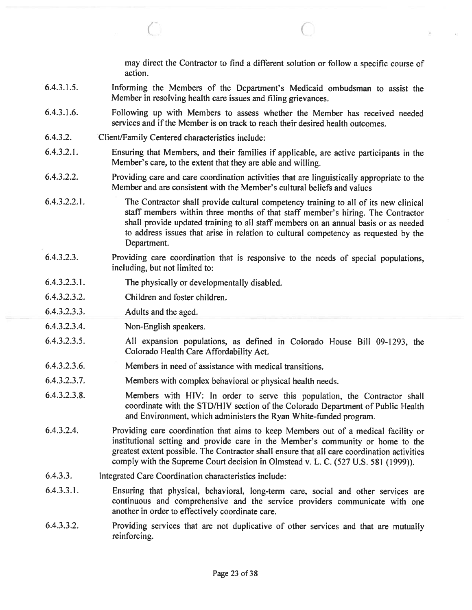may direct the Contractor to find <sup>a</sup> different solution or follow <sup>a</sup> specific course of action.

6.4.3.1.5. Informing the Members of the Department's Medicaid ombudsman to assist the Member in resolving health care issues and filing grievances.

C' C

- 6.4.3.1 .6. Following up with Members to assess whether the Member has received needed services and if the Member is on track to reach their desired health outcomes.
- 6.4.3.2. Client/Family Centered characteristics include:
- 6.4.3.2.1. Ensuring that Members, and their families if applicable, are active participants in the Member's care, to the extent that they are able and willing.
- 6.4.3.2.2. Providing care and care coordination activities that are linguistically appropriate to the Member and are consistent with the Member's cultural beliefs and values
- 6.4.3.2.2.1. The Contractor shall provide cultural competency training to all of its new clinical staff members within three months of that staff member's hiring. The Contractor shall provide updated training to all staff members on an annual basis or as needed to address issues that arise in relation to cultural competency as requested by the Department.
- 6.4.3.2.3. Providing care coordination that is responsive to the needs of special populations, including, but not limited to:
- 6.4.3.2.3.1. The physically or developmentally disabled.
- 6.4.3.2.3.2. Children and foster children.
- 6.4.3.2.3.3. Adults and the aged.
- 6.4.3.2.3.4. Non-English speakers.
- 6.4.3.2.3.5. All expansion populations, as defined in Colorado House Bill 09-1293, the Colorado Health Care Affordability Act.
- 6.4.3.2.3.6. Members in need of assistance with medical transitions.
- 6.4.3.2.3.7. Members with complex behavioral or physical health needs.
- 6.4.3.2.3.8. Members with HIV: In order to serve this population, the Contractor shall coordinate with the STD/HIV section of the Colorado Department of Public Health and Environment, which administers the Ryan White-funded program.
- 6.4.3.2.4. Providing care coordination that aims to keep Members out of <sup>a</sup> medical facility or institutional setting and provide care in the Member's community or home to the greatest extent possible. The Contractor shall ensure that all care coordination activities comply with the Supreme Court decision in Olmstead v. L. C. (527 U.S. 581 (1999)).
- 6.4.3.3. Integrated Care Coordination characteristics include:
- 6.4.3.3.1. Ensuring that <sup>p</sup>hysical, behavioral, long-term care, social and other services are continuous and comprehensive and the service providers communicate with one another in order to effectively coordinate care.
- 6.4.3.3.2. Providing services that are not duplicative of other services and that are mutually reinforcing.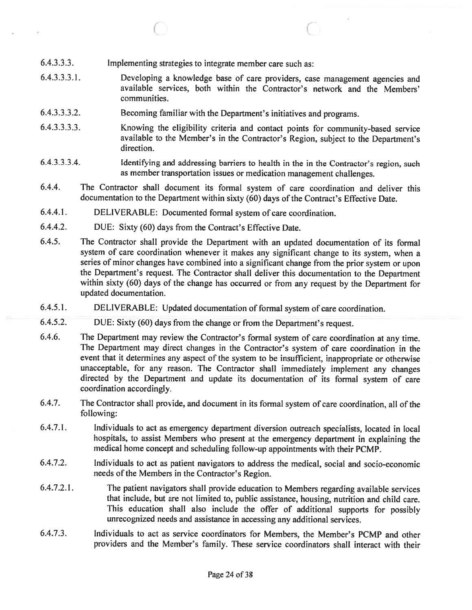- 6.4.3.3.3. Implementing strategies to integrate member care such as:
- 6.4.3.3.3.1. Developing <sup>a</sup> knowledge base of care providers, case managemen<sup>t</sup> agencies and available services, both within the Contractor's network and the Members' communities.

 $\circ$  C

- 6.4.3.3.3.2. Becoming familiar with the Department's initiatives and programs.
- 6.4.3.3.3.3. Knowing the eligibility criteria and contact points for community-based service available to the Member's in the Contractor's Region, subject to the Department's direction.
- 6.4.3.3.3.4. Identifying and addressing barriers to health in the in the Contractor's region, such as member transportation issues or medication managemen<sup>t</sup> challenges.
- 6.4.4. The Contractor shall document its formal system of care coordination and deliver this documentation to the Department within sixty (60) days of the Contract's Effective Date.
- 6.4.4.1. DELIVERABLE: Documented formal system of care coordination.
- 6.4.4.2. DUE: Sixty (60) days from the Contract's Effective Date.
- 6.4.5. The Contractor shall provide the Department with an updated documentation of its formal system of care coordination whenever it makes any significant change to its system, when <sup>a</sup> series of minor changes have combined into <sup>a</sup> significant change from the prior system or upon the Department's request. The Contractor shall deliver this documentation to the Department within sixty (60) days of the change has occurred or from any reques<sup>t</sup> by the Department for updated documentation.
- 6.4.5.1. DELIVERABLE: Updated documentation of formal system of care coordination.
- 6.4.5.2. DUE: Sixty (60) days from the change or from the Department's request.
- 6.4.6. The Department may review the Contractor's formal system of care coordination at any time. The Department may direct changes in the Contractor's system of care coordination in the event that it determines any aspec<sup>t</sup> of the system to be insufficient, inappropriate or otherwise unacceptable, for any reason. The Contractor shall immediately implement any changes directed by the Department and update its documentation of its formal system of care coordination accordingly.
- 6.4.7. The Contractor shall provide, and document in its formal system of care coordination, all of the following:
- 6.4.7.1. Individuals to act as emergency department diversion outreach specialists, located in local hospitals, to assist Members who presen<sup>t</sup> at the emergency department in explaining the medical home concep<sup>t</sup> and scheduling follow-up appointments with their PCMP.
- 6.4.7.2. Individuals to act as patient navigators to address the medical, social and socio-economic needs of the Members in the Contractor's Region.
- 6.4.7.2.1. The patient navigators shall provide education to Members regarding available services that include, but are not limited to, public assistance, housing, nutrition and child care. This education shall also include the offer of additional supports for possibly unrecognized needs and assistance in accessing any additional services.
- 6.4.7.3. Individuals to act as service coordinators for Members, the Member's PCMP and other providers and the Member's family. These service coordinators shall interact with their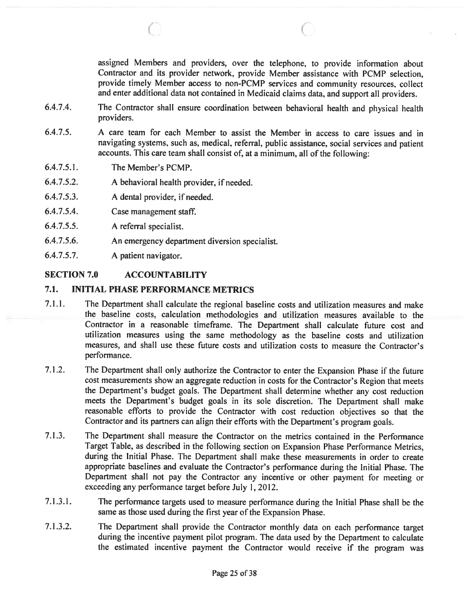assigned Members and providers, over the telephone, to provide information about Contractor and its provider network, provide Member assistance with PCMP selection, provide timely Member access to non-PCMP services and community resources, collect and enter additional data not contained in Medicaid claims data, and suppor<sup>t</sup> all providers.

6.4.7.4. The Contractor shall ensure coordination between behavioral health and <sup>p</sup>hysical health providers.

 $\circ$  C

- 6.4.7.5. A care team for each Member to assist the Member in access to care issues and in navigating systems, such as, medical, referral, public assistance, social services and patient accounts. This care team shall consist of, at <sup>a</sup> minimum, all of the following:
- 6.4.7.5.1. The Member's PCMP.
- 6.4.7.5.2. A behavioral health provider, if needed.
- 6.4.7.5.3. A dental provider, if needed.
- 6.4.7.5.4. Case managemen<sup>t</sup> staff.
- 6.4.7.5.5. A referral specialist.
- 6.4.7.5.6. An emergency department diversion specialist.
- 6.4.7.5.7. A patient navigator.

# SECTION 7.0 ACCOUNTABILITY

#### 7.1. INITIAL PHASE PERFORMANCE METRICS

- 7.1.1. The Department shall calculate the regional baseline costs and utilization measures and make the baseline costs, calculation methodologies and utilization measures available to the Contractor in <sup>a</sup> reasonable timeframe. The Department shall calculate future cost and utilization measures using the same methodology as the baseline costs and utilization measures, and shall use these future costs and utilization costs to measure the Contractor's performance.
- 7.1.2. The Department shall only authorize the Contractor to enter the Expansion Phase if the future cost measurements show an aggregate reduction in costs for the Contractor's Region that meets the Department's budget goals. The Department shall determine whether any cost reduction meets the Department's budget goals in its sole discretion. The Department shall make reasonable efforts to provide the Contractor with cost reduction objectives so that the Contractor and its partners can align their efforts with the Department's program goals.
- 7.1.3. The Department shall measure the Contractor on the metrics contained in the Performance Target Table, as described in the following section on Expansion Phase Performance Metrics, during the Initial Phase. The Department shall make these measurements in order to create appropriate baselines and evaluate the Contractor's performance during the Initial Phase. The Department shall not pay the Contractor any incentive or other paymen<sup>t</sup> for meeting or exceeding any performance target before July 1,2012.
- 7.1.3.1. The performance targets used to measure performance during the Initial Phase shall be the same as those used during the first year of the Expansion Phase.
- 7.1 .3.2. The Department shall provide the Contractor monthly data on each performance target during the incentive paymen<sup>t</sup> <sup>p</sup>ilot program. The data used by the Department to calculate the estimated incentive paymen<sup>t</sup> the Contractor would receive if the program was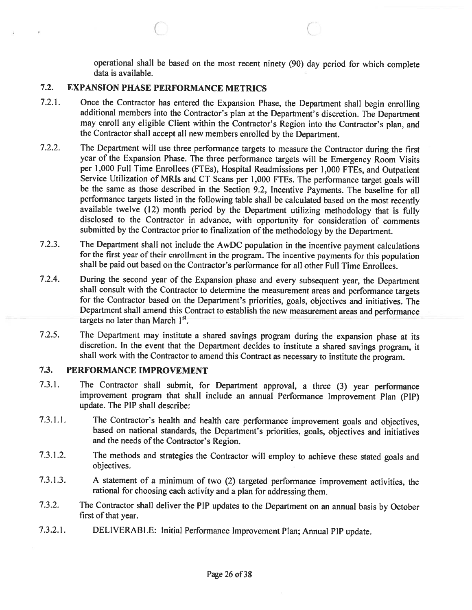operational shall be based on the most recent ninety (90) day period for which complete data is available.

# 7.2. EXPANSION PHASE PERFORMANCE METRICS

7.2.1. Once the Contractor has entered the Expansion Phase, the Department shall begin enrolling additional members into the Contractor's <sup>p</sup>lan at the Department's discretion. The Department may enroll any eligible Client within the Contractor's Region into the Contractor's <sup>p</sup>lan, and the Contractor shall accept all new members enrolled by the Department.

 $\circ$  C

- 7.2.2. The Department will use three performance targets to measure the Contractor during the first year of the Expansion Phase. The three performance targets will be Emergency Room Visits per 1,000 Full Time Enrollees (FTEs), Hospital Readmissions per 1,000 FTEs, and Outpatient Service Utilization of MRIs and CT Scans per 1,000 FTEs. The performance target goals will be the same as those described in the Section 9.2, Incentive Payments. The baseline for all performance targets listed in the following table shall be calculated based on the most recently available twelve (12) month period by the Department utilizing methodology that is fully disclosed to the Contractor in advance, with opportunity for consideration of comments submitted by the Contractor prior to finalization of the methodology by the Department.
- 7.2.3. The Department shall not include the AwDC population in the incentive payment calculations for the first year of their enrollment in the program. The incentive payments for this population shall be paid out based on the Contractor's performance for all other Full Time Enrollees.
- 7.2.4. During the second year of the Expansion <sup>p</sup>hase and every subsequent year, the Department shall consult with the Contractor to determine the measurement areas and performance targets for the Contractor based on the Department's priorities, goals, objectives and initiatives. The Department shall amend this Contract to establish the new measurement areas and performance targets no later than March  $1<sup>st</sup>$ .
- 7.2.5. The Department may institute <sup>a</sup> shared savings program during the expansion <sup>p</sup>hase at its discretion. In the event that the Department decides to institute <sup>a</sup> shared savings program, it shall work with the Contractor to amend this Contract as necessary to institute the program.

# 7.3. PERFORMANCE IMPROVEMENT

- 7.3.1. The Contractor shall submit, for Department approval, <sup>a</sup> three (3) year performance improvement program that shall include an annual Performance Improvement Plan (PIP) update. The PIP shall describe:
- 7.3.1.1. The Contractor's health and health care performance improvement goals and objectives, based on national standards, the Department's priorities, goals, objectives and initiatives and the needs of the Contractor's Region.
- 7.3.1.2. The methods and strategies the Contractor will employ to achieve these stated goals and objectives.
- 7.3.1.3. <sup>A</sup> statement of <sup>a</sup> minimum of two (2) targeted performance improvement activities, the rational for choosing each activity and <sup>a</sup> <sup>p</sup>lan for addressing them.
- 7.3.2. The Contractor shall deliver the PIP updates to the Department on an annual basis by October first of that year.
- 7.3.2.1. DELIVERABLE: Initial Performance Improvement Plan; Annual PIP update.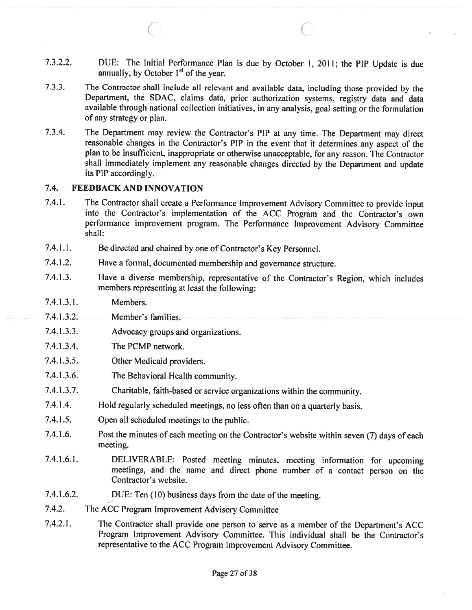7.3.2.2. DUE: The Initial Performance Plan is due by October 1, 2011; the PIP Update is due annually, by October  $1<sup>st</sup>$  of the year.

 $\circ$  C

- 7.3.3. The Contractor shall include all relevant and available data, including those provided by the Department, the SDAC. claims data, prior authorization systems, registry data and data available through national collection initiatives, in any analysis, goa<sup>l</sup> setting or the formulation of any strategy or plan.
- 7.3.4. The Department may review the Contractor's PIP at any time. The Department may direct reasonable changes in the Contractor's PIP in the event that it determines any aspect of the <sup>p</sup>lan to be insufficient, inappropriate or otherwise unacceptable, for any reason. The Contractor shall immediately implement any reasonable changes directed by the Department and update its PIP accordingly.

# 7.4. FEEDBACK AND INNOVATION

- 7.4.1. The Contractor shall create <sup>a</sup> Performance Improvement Advisory Committee to provide input into the Contractor's implementation of the ACC Program and the Contractor's own performance improvement program. The Performance Improvement Advisory Committee shall:
- 7.4.1.1. Be directed and chaired by one of Contractor's Key Personnel.
- 7.4.1.2. Have <sup>a</sup> formal, documented membership and governance structure.
- 7.4.1 .3. Have <sup>a</sup> diverse membership, representative of the Contractor's Region, which includes members representing at least the following:
- 7.4.1.3.1. Members.
- 7.4.1.3.2. Member's families.
- 7.4.1.3.3. Advocacy groups and organizations.
- 7.4.1.3.4. The PCMP network.
- 7.4.1.3.5. Other Medicaid providers.
- 7.4.1.3.6. The Behavioral Health community.
- 7.4.1.3.7. Charitable, faith-based or service organizations within the community.
- 7.4.1.4. Hold regularly scheduled meetings, no less often than on <sup>a</sup> quarterly basis.
- 7.4.1.5. Open all scheduled meetings to the public.
- 7.4.1.6. Post the minutes of each meeting on the Contractor's website within seven (7) days of each meeting.
- 7.4.1.6.1. DELIVERABLE: Posted meeting minutes, meeting information for upcoming meetings, and the name and direct <sup>p</sup>hone number of <sup>a</sup> contact person on the Contractor's website.
- 7.4.1.6.2. DUE: Ten (10) business days from the date of the meeting.
- 7.4.2. The ACC Program Improvement Advisory Committee
- 7.4.2.1. The Contractor shall provide one person to serve as <sup>a</sup> member of the Department's ACC Program Improvement Advisory Committee. This individual shall be the Contractor's representative to the ACC Program Improvement Advisory Committee.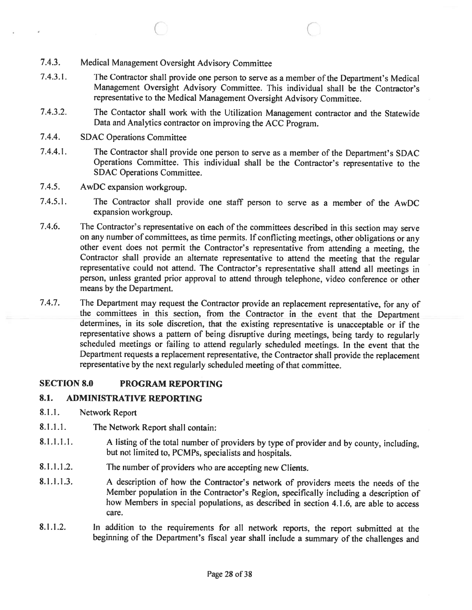- 7.4.3. Medical Management Oversight Advisory Committee
- 7.4.3.1. The Contractor shall provide one person to serve as <sup>a</sup> member of the Department's Medical Management Oversight Advisory Committee. This individual shall be the Contractor's representative to the Medical Management Oversight Advisory Committee.

C C

- 7.4.3.2. The Contactor shall work with the Utilization Management contractor and the Statewide Data and Analytics contractor on improving the ACC Program.
- 7.4.4. SDAC Operations Committee
- 7.4.4.1. The Contractor shall provide one person to serve as <sup>a</sup> member of the Department's SDAC Operations Committee. This individual shall be the Contractor's representative to the SDAC Operations Committee.
- 7.4.5. AwDC expansion workgroup.
- 7.4.5.1. The Contractor shall provide one staff person to serve as <sup>a</sup> member of the AwDC expansion workgroup.
- 7.4.6. The Contractor's representative on each of the committees described in this section may serve on any number of committees, as time permits. If conflicting meetings, other obligations or any other event does not permit the Contractor's representative from attending <sup>a</sup> meeting, the Contractor shall provide an alternate representative to attend the meeting that the regular representative could not attend. The Contractor's representative shall attend all meetings in person, unless granted prior approval to attend through telephone, video conference or other means by the Department.
- 7.4.7. The Department may request the Contractor provide an replacement representative, for any of the committees in this section, from the Contractor in the event that the Department determines, in its sole discretion, that the existing representative is unacceptable or if the representative shows <sup>a</sup> pattern of being disruptive during meetings, being tardy to regularly scheduled meetings or failing to attend regularly scheduled meetings. In the event that the Department requests <sup>a</sup> replacement representative, the Contractor shall provide the replacement representative by the next regularly scheduled meeting of that committee.

# SECTION 8.0 PROGRAM REPORTING

# 8.1. ADMINISTRATIVE REPORTING

- 8.1.1. Network Report
- 8.1.1.1. The Network Report shall contain:
- 8.1.1.1.1. A listing of the total number of providers by type of provider and by county, including, but not limited to, PCMPs, specialists and hospitals.
- 8.1.1.1.2. The number of providers who are accepting new Clients.
- 8.1.1.1.3. <sup>A</sup> description of how the Contractor's network of providers meets the needs of the Member population in the Contractor's Region, specifically including <sup>a</sup> description of how Members in special populations, as described in section 4.1.6, are able to access care.
- 8.1.1.2. In addition to the requirements for all network reports, the report submitted at the beginning of the Department's fiscal year shall include <sup>a</sup> summary of the challenges and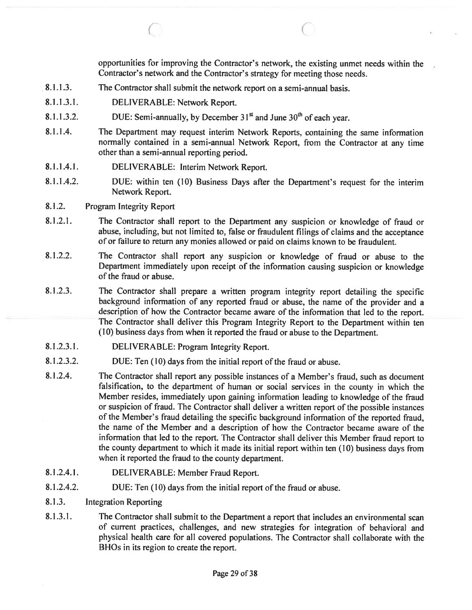opportunities for improving the Contractor's network, the existing unmet needs within the Contractor's network and the Contractor's strategy for meeting those needs.

C

- 8.1.1.3. The Contractor shall submit the network repor<sup>t</sup> on <sup>a</sup> semi-annual basis.
- 8.1.1.3.1. DELIVERABLE: Network Report.
- 8.1.1.3.2. DUE: Semi-annually, by December  $31<sup>st</sup>$  and June  $30<sup>th</sup>$  of each year.
- 8.1.1.4. The Department may request interim Network Reports, containing the same information normally contained in <sup>a</sup> semi-annual Network Report, from the Contractor at any time other than <sup>a</sup> semi-annual reporting period.
- 8.1.1.4.1. DELIVERABLE: Interim Network Report.
- 8.1.1.4.2. DUE: within ten (10) Business Days after the Department's reques<sup>t</sup> for the interim Network Report.
- 8.1.2. Program Integrity Report
- 8.1.2.1. The Contractor shall repor<sup>t</sup> to the Department any suspicion or knowledge of fraud or abuse, including, but not limited to, false or fraudulent filings of claims and the acceptance of or failure to return any monies allowed or paid on claims known to be fraudulent.
- 8.1.2.2. The Contractor shall repor<sup>t</sup> any suspicion or knowledge of fraud or abuse to the Department immediately upon receipt of the information causing suspicion or knowledge of the fraud or abuse.
- 8.1.2.3. The Contractor shall prepare <sup>a</sup> written program integrity repor<sup>t</sup> detailing the specific background information of any reported fraud or abuse, the name of the provider and <sup>a</sup> description of how the Contractor became aware of the information that led to the report. The Contractor shall deliver this Program Integrity Report to the Department within ten (10) business days from when it reported the fraud or abuse to the Department.
- 8.1.2.3.1. DELIVERABLE: Program Integrity Report.
- 8.1.2.3.2. DUE: Ten (10) days from the initial repor<sup>t</sup> of the fraud or abuse.
- 8.1 .2.4. The Contractor shall repor<sup>t</sup> any possible instances of <sup>a</sup> Member's fraud, such as document falsification, to the department of human or social services in the county in which the Member resides, immediately upon gaining information leading to knowledge of the fraud or suspicion of fraud. The Contractor shall deliver <sup>a</sup> written repor<sup>t</sup> of the possible instances of the Member's fraud detailing the specific background information of the reported fraud, the name of the Member and <sup>a</sup> description of how the Contractor became aware of the information that led to the report. The Contractor shall deliver this Member fraud repor<sup>t</sup> to the county department to which it made its initial repor<sup>t</sup> within ten (10) business days from when it reported the fraud to the county department.
- 8.1.2.4.1. DELIVERABLE: Member Fraud Report.
- 8.1.2.4.2. DUE: Ten (10) days from the initial repor<sup>t</sup> of the fraud or abuse.
- 8.1.3. Integration Reporting
- 8.1.3.1. The Contractor shall submit to the Department a report that includes an environmental scan of current practices, challenges, and new strategies for integration of behavioral and physical health care for all covered populations. The Contractor shall collaborate with the BHOs in its region to create the report.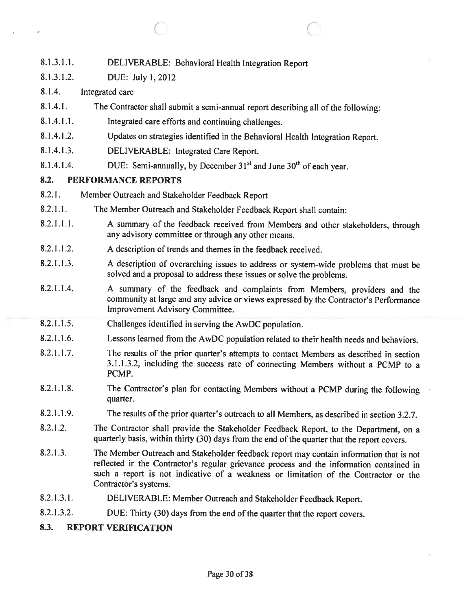- 8.1.3.1.1. DELIVERABLE: Behavioral Health Integration Report
- 8.1.3.1.2. DUE: July 1,2012
- 8.1.4. Integrated care
- 8.1.4.1. The Contractor shall submit <sup>a</sup> semi-annual repor<sup>t</sup> describing all of the following:

C C

- 8.1.4.1.1. Integrated care efforts and continuing challenges.
- 8.1.4.1.2. Updates on strategies identified in the Behavioral Health Integration Report.
- 8.1.4.1.3. DELIVERABLE: Integrated Care Report.
- 8.1.4.1.4. DUE: Semi-annually, by December  $31<sup>st</sup>$  and June  $30<sup>th</sup>$  of each year.

# 8.2. PERFORMANCE REPORTS

- 8.2.1. Member Outreach and Stakeholder Feedback Report
- 8.2.1.1. The Member Outreach and Stakeholder Feedback Report shall contain:
- 8.2.1.1.1. <sup>A</sup> summary of the feedback received from Members and other stakeholders, through any advisory committee or through any other means.
- 8.2.1.1.2. A description of trends and themes in the feedback received.
- 8.2.1.1.3. <sup>A</sup> description of overarching issues to address or system-wide problems that must be solved and <sup>a</sup> proposa<sup>l</sup> to address these issues or solve the problems.
- 8.2.1.1.4. A summary of the feedback and complaints from Members, providers and the community at large and any advice or views expresse<sup>d</sup> by the Contractor's Performance Improvement Advisory Committee.
- 8.2.1.1.5. Challenges identified in serving the AwDC population.
- 8.2.1.1.6. Lessons learned from the AwDC population related to their health needs and behaviors.
- 8.2.1.1.7. The results of the prior quarter's attempts to contact Members as described in section 3.1.1.3.2, including the success rate of connecting Members without <sup>a</sup> PCMP to <sup>a</sup> PCMP.
- 8.2.1.1.8. The Contractor's <sup>p</sup>lan for contacting Members without <sup>a</sup> PCMP during the following quarter.
- 8.2.1.1.9. The results of the prior quarter's outreach to all Members, as described in section 3.2.7.
- 8.2.1.2. The Contractor shall provide the Stakeholder Feedback Report, to the Department, on a quarterly basis, within thirty (30) days from the end of the quarter that the repor<sup>t</sup> covers.
- 8.2.1 .3. The Member Outreach and Stakeholder feedback repor<sup>t</sup> may contain information that is not reflected in the Contractor's regular grievance process and the information contained in such <sup>a</sup> repor<sup>t</sup> is not indicative of <sup>a</sup> weakness or limitation of the Contractor or the Contractor's systems.
- 8.2.1.3.1. DELIVERABLE: Member Outreach and Stakeholder Feedback Report.
- 8.2.1.3.2. DUE: Thirty (30) days from the end of the quarter that the report covers.

# 8.3. REPORT VERIFICATION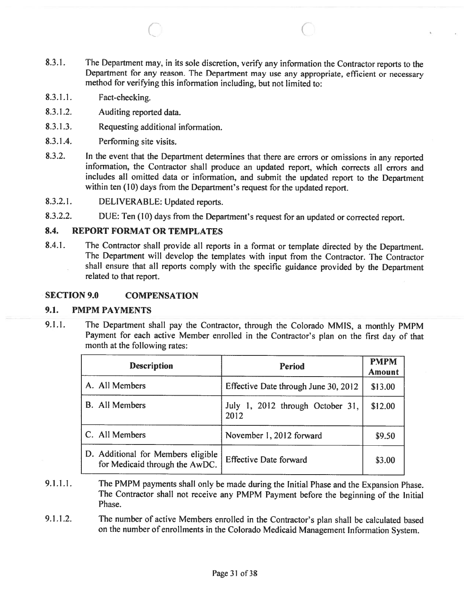8.3.1. The Department may, in its sole discretion, verify any information the Contractor reports to the Department for any reason. The Department may use any appropriate, efficient or necessary method for verifying this information including, but not limited to:

 $\circ$  C

- 8.3.1.1. Fact-checking.
- 8.3.1.2. Auditing reported data.
- 8.3.1.3. Requesting additional information.
- 8.3.1.4. Performing site visits.
- 8.3.2. In the event that the Department determines that there are errors or omissions in any reported information, the Contractor shall produce an updated report, which corrects all errors and includes all omitted data or information, and submit the updated repor<sup>t</sup> to the Department within ten (10) days from the Department's reques<sup>t</sup> for the updated report.
- 8.3.2.1. DELIVERABLE: Updated reports.
- 8.3.2.2. DUE: Ten (10) days from the Department's reques<sup>t</sup> for an updated or corrected report.

## 8.4. REPORT FORMAT OR TEMPLATES

8.4.1. The Contractor shall provide all reports in <sup>a</sup> format or template directed by the Department. The Department will develop the templates with input from the Contractor. The Contractor shall ensure that all reports comply with the specific guidance provided by the Department related to that report.

#### SECTION 9.0 COMPENSATION

#### 9.1. PMPM PAYMENTS

9.1.1. The Department shall pay the Contractor, through the Colorado MMIS, <sup>a</sup> monthly PMPM Payment for each active Member enrolled in the Contractor's <sup>p</sup>lan on the first day of that month at the following rates:

| <b>Description</b>                                                   | <b>Period</b>                            | <b>PMPM</b><br><b>Amount</b> |
|----------------------------------------------------------------------|------------------------------------------|------------------------------|
| A. All Members                                                       | Effective Date through June 30, 2012     | \$13.00                      |
| <b>B.</b> All Members                                                | July 1, 2012 through October 31,<br>2012 | \$12.00                      |
| C. All Members                                                       | November 1, 2012 forward                 | \$9.50                       |
| D. Additional for Members eligible<br>for Medicaid through the AwDC. | <b>Effective Date forward</b>            | \$3.00                       |

- 9.1.1.1. The PMPM payments shall only be made during the Initial Phase and the Expansion Phase. The Contractor shall not receive any PMPM Payment before the beginning of the Initial Phase.
- 9.1.1.2. The number of active Members enrolled in the Contractor's plan shall be calculated based on the number of enrollments in the Colorado Medicaid Management Information System.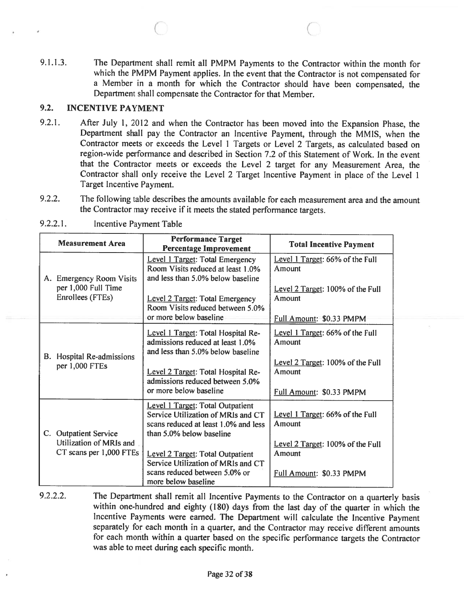9.1.1.3. The Department shall remit all PMPM Payments to the Contractor within the month for which the PMPM Payment applies. In the event that the Contractor is not compensated for <sup>a</sup> Member in <sup>a</sup> month for which the Contractor should have been compensated, the Department shall compensate the Contractor for that Member.

 $\circ$  C

# 9.2. INCENTIVE PAYMENT

- 9.2.1. After July 1, <sup>2012</sup> and when the Contractor has been moved into the Expansion Phase, the Department shall pay the Contractor an Incentive Payment, through the MMIS, when the Contractor meets or exceeds the Level <sup>I</sup> Targets or Level <sup>2</sup> Targets, as calculated based on region-wide performance and described in Section 7.2 of this Statement of Work. In the event that the Contractor meets or exceeds the Level <sup>2</sup> target for any Measurement Area, the Contractor shall only receive the Level <sup>2</sup> Target Incentive Payment in <sup>p</sup>lace of the Level <sup>1</sup> Target Incentive Payment.
- 9.2.2. The following table describes the amounts available for each measurement area and the amount the Contractor may receive if it meets the stated performance targets.

|  | <b>Measurement Area</b>                                                     | <b>Performance Target</b><br><b>Percentage Improvement</b>                                                                                 | <b>Total Incentive Payment</b>             |
|--|-----------------------------------------------------------------------------|--------------------------------------------------------------------------------------------------------------------------------------------|--------------------------------------------|
|  | A. Emergency Room Visits<br>per 1,000 Full Time<br>Enrollees (FTEs)         | Level 1 Target: Total Emergency<br>Room Visits reduced at least 1.0%<br>and less than 5.0% below baseline                                  | Level 1 Target: 66% of the Full<br>Amount  |
|  |                                                                             | Level 2 Target: Total Emergency<br>Room Visits reduced between 5.0%                                                                        | Level 2 Target: 100% of the Full<br>Amount |
|  |                                                                             | or more below baseline                                                                                                                     | Full Amount: \$0.33 PMPM                   |
|  | B. Hospital Re-admissions<br>per 1,000 FTEs                                 | Level 1 Target: Total Hospital Re-<br>admissions reduced at least 1.0%<br>and less than 5.0% below baseline                                | Level 1 Target: 66% of the Full<br>Amount  |
|  |                                                                             | Level 2 Target: Total Hospital Re-<br>admissions reduced between 5.0%<br>or more below baseline                                            | Level 2 Target: 100% of the Full<br>Amount |
|  |                                                                             |                                                                                                                                            | Full Amount: \$0.33 PMPM                   |
|  | C. Outpatient Service<br>Utilization of MRIs and<br>CT scans per 1,000 FTEs | Level 1 Target: Total Outpatient<br>Service Utilization of MRIs and CT<br>scans reduced at least 1.0% and less<br>than 5.0% below baseline | Level 1 Target: 66% of the Full<br>Amount  |
|  |                                                                             | <b>Level 2 Target: Total Outpatient</b><br>Service Utilization of MRIs and CT                                                              | Level 2 Target: 100% of the Full<br>Amount |
|  |                                                                             | scans reduced between 5.0% or<br>more below baseline                                                                                       | Full Amount: \$0.33 PMPM                   |

9.2.2.1. Incentive Payment Table

9.2.2.2. The Department shall remit all Incentive Payments to the Contractor on a quarterly basis within one-hundred and eighty (180) days from the last day of the quarter in which the incentive Payments were earned. The Department will calculate the Incentive Payment separately for each month in <sup>a</sup> quarter, and the Contractor may receive different amounts for each month within <sup>a</sup> quarter based on the specific performance targets the Contractor was able to meet during each specific month.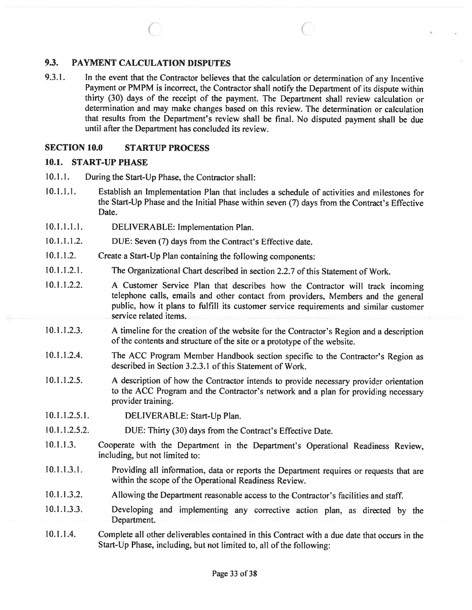#### PAYMENT CALCULATION DISPUTES 9.3.

In the event that the Contractor believes that the calculation or determination of any Incentive Payment or PMPM is incorrect, the Contractor shall notify the Department of its dispute within thirty (30) days of the receipt of the payment. The Department shall review calculation or determination and may make changes based on this review. The determination or calculation that results from the Department's review shall be final. No disputed paymen<sup>t</sup> shall be due until after the Department has concluded its review. 9.3.1.

 $\bigcirc$  contracts to  $\bigcirc$ 

#### SECTION 10.0 STARTUP PROCESS

#### 10.1. START-UP PHASE

- 10.1.1. During the Start-Up Phase, the Contractor shall:
- 10.1.1.1. Establish an Implementation Plan that includes <sup>a</sup> schedule of activities and milestones for the Start-Up Phase and the Initial Phase within seven (7) days from the Contract's Effective Date.
- DELIVERABLE: Implementation Plan. 10.1.1.1.1.
- DUE: Seven (7) days from the Contract's Effective date. 10.1.1.1.2.
- Create <sup>a</sup> Start-Up Plan containing the following components: 10.1.1.2.
- The Organizational Chart described in section 2.2.7 of this Statement of Work. 10.1.1.2.1.
- <sup>A</sup> Customer Service Plan that describes how the Contractor will track incoming telephone calls, emails and other contact from providers, Members and the genera<sup>l</sup> public, how it <sup>p</sup>lans to fulfill its customer service requirements and similar customer service related items. 10.1.1.2.2.
- <sup>A</sup> timeline for the creation of the website for the Contractor's Region and <sup>a</sup> description of the contents and structure of the site or a prototype of the website. 10.1.1.2.3.
- The ACC Program Member Handbook section specific to the Contractor's Region as described in Section 3.2.3.1 of this Statement of Work. 10.1.1.2.4.
- <sup>A</sup> description of how the Contractor intends to provide necessary provider orientation to the ACC Program and the Contractor's network and <sup>a</sup> <sup>p</sup>lan for providing necessary provider training. 10.1.1.2.5.
- DELIVERABLE: Start-Up Plan. 10.1.1.2.5.1.
- DUE: Thirty (30) days from the Contract's Effective Date. 10.1.1.2.5.2.
- Cooperate with the Department in the Department's Operational Readiness Review, including, but not limited to: 10.1.1.3.
- Providing all information, data or reports the Department requires or requests that are within the scope of the Operational Readiness Review. 10.1.1.3.1.
- Allowing the Department reasonable access to the Contractor's facilities and staff. 10.1.1.3.2.
- Developing and implementing any corrective action <sup>p</sup>lan, as directed by the Department. 10.1.1.3.3.
- Complete all other deliverables contained in this Contract with <sup>a</sup> due date that occurs in the Start-Up Phase, including, but not limited to, all of the following: 10.1.1.4.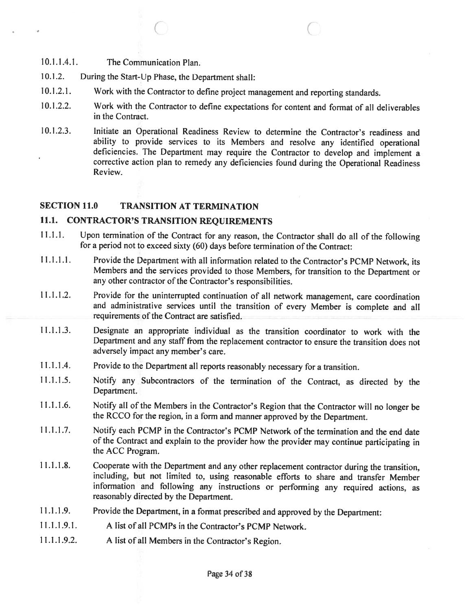- 10.1.1.4.1. The Communication Plan.
- 10.1.2. During the Start-Up Phase, the Department shall:
- 10.1.2.1. Work with the Contractor to define project management and reporting standards.
- 10.1.2.2. Work with the Contractor to define expectations for content and format of all deliverables in the Contract.

 $\circ$   $\circ$   $\circ$ 

10.1.2.3. Initiate an Operational Readiness Review to determine the Contractor's readiness and ability to provide services to its Members and resolve any identified operational deficiencies. The Department may require the Contractor to develop and implement <sup>a</sup> corrective action <sup>p</sup>lan to remedy any deficiencies found during the Operational Readiness Review.

# SECTION 11.0 TRANSiTION AT TERMINATION

# 11.1. CONTRACTOR'S TRANSITION REQUIREMENTS

- 11.1.1. Upon termination of the Contract for any reason, the Contractor shall do all of the following for a period not to exceed sixty (60) days before termination of the Contract:
- 11.1.1.1. Provide the Department with all information related to the Contractor's PCMP Network, its Members and the services provided to those Members, for transition to the Department or any other contractor of the Contractor's responsibilities.
- 11.1.1.2. Provide for the uninterrupted continuation of all network management, care coordination and administrative services until the transition of every Member is complete and all requirements of the Contract are satisfied.
- 11.1.1.3. Designate an appropriate individual as the transition coordinator to work with the Department and any staff from the replacement contractor to ensure the transition does not adversely impact any member's care.
- 11.1.1.4. Provide to the Department all reports reasonably necessary for <sup>a</sup> transition.
- 11.1.1.5. Notify any Subcontractors of the termination of the Contract, as directed by the Department.
- 11.1.1.6. Notify all of the Members in the Contractor's Region that the Contractor will no longer be the RCCO for the region, in <sup>a</sup> form and manner approved by the Department.
- 11.1.1.7. Notify each PCMP in the Contractor's PCMP Network of the termination and the end date of the Contract and explain to the provider how the provider may continue participating in the ACC Program.
- <sup>11</sup> .1 .1 .8. Cooperate with the Department and any other replacement contractor during the transition, including, but not limited to, using reasonable efforts to share and transfer Member information and following any instructions or performing any required actions, as reasonably directed by the Department.
- 11.1.1.9. Provide the Department, in <sup>a</sup> format prescribed and approved by the Department:
- 11.1.1.9.1. A list of all PCMPs in the Contractor's PCMP Network.
- 11.1.1.9.2. <sup>A</sup> list of all Members in the Contractor's Region.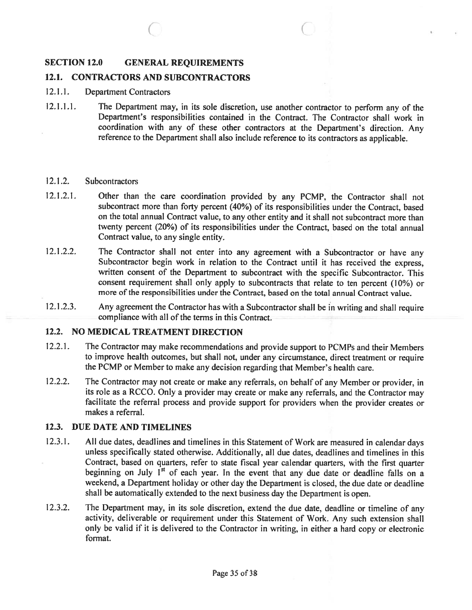#### SECTION 12.0 GENERAL REQUIREMENTS

# 12.1. CONTRACTORS AND SUBCONTRACTORS

- 12.11. Department Contractors
- 12.1.1.1. The Department may, in its sole discretion, use another contractor to perform any of the Department's responsibilities contained in the Contract. The Contractor shall work in coordination with any of these other contractors at the Department's direction. Any reference to the Department shall also include reference to its contractors as applicable.

C C

#### 12.1.2. Subcontractors

- 12.1.2.1. Other than the care coordination provided by any PCMP, the Contractor shall not subcontract more than forty percen<sup>t</sup> (40%) of its responsibilities under the Contract, based on the total annual Contract value, to any other entity and it shall not subcontract more than twenty percen<sup>t</sup> (20%) of its responsibilities under the Contract, based on the total annual Contract value, to any single entity.
- 12.1.2.2. The Contractor shall not enter into any agreement with a Subcontractor or have any Subcontractor begin work in relation to the Contract until it has received the express, written consent of the Department to subcontract with the specific Subcontractor. This consent requirement shall only apply to subcontracts that relate to ten percen<sup>t</sup> (10%) or more of the responsibilities under the Contract, based on the total annual Contract value.
- 12.1.2.3. Any agreemen<sup>t</sup> the Contractor has with <sup>a</sup> Subcontractor shall be in writing and shall require compliance with all of the terms in this Contract.

#### 12.2. NO MEDICAL TREATMENT DIRECTION

- 12.2.1. The Contractor may make recommendations and provide support to PCMPs and their Members to improve health outcomes, but shall not, under any circumstance, direct treatment or require the PCMP or Member to make any decision regarding that Member's health care.
- 12.2.2. The Contractor may not create or make any referrals, on behalf of any Member or provider, in its role as <sup>a</sup> RCCO. Only <sup>a</sup> provider may create or make any referrals, and the Contractor may facilitate the referral process and provide suppor<sup>t</sup> for providers when the provider creates or makes <sup>a</sup> referral.

#### 12.3. DUE DATE AND TIMELINES

- 12.3.1. All due dates, deadlines and timelines in this Statement of Work are measured in calendar days unless specifically stated otherwise. Additionally, all due dates, deadlines and timelines in this Contract, based on quarters, refer to state fiscal year calendar quarters, with the first quarter beginning on July  $1<sup>st</sup>$  of each year. In the event that any due date or deadline falls on a weekend, <sup>a</sup> Department holiday or other day the Department is closed, the due date or deadline shall be automatically extended to the next business day the Department is open.
- 12.3.2. The Department may, in its sole discretion, extend the due date, deadline or timeline of any activity, deliverable or requirement under this Statement of Work. Any such extension shall only be valid if it is delivered to the Contractor in writing, in either <sup>a</sup> hard copy or electronic format.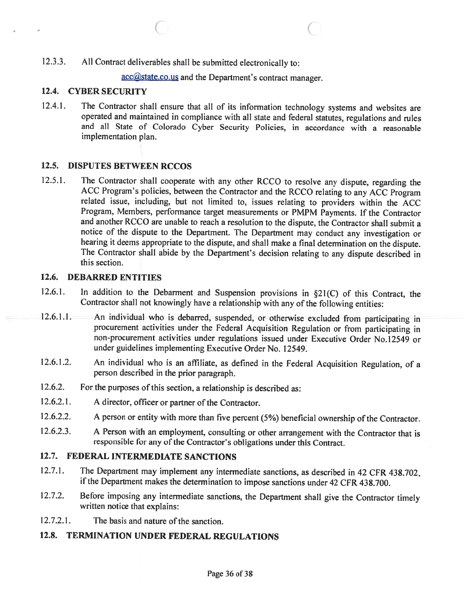12.3.3. All Contract deliverables shall be submitted electronically to:

acc@state.co.us and the Department's contract manager.

# 12.4. CYBER SECURiTY

12.4.1. The Contractor shall ensure that all of its information technology systems and websites are operated and maintained in compliance with all state and federal statutes, regulations and rules and all State of Colorado Cyber Security Policies, in accordance with <sup>a</sup> reasonable implementation plan.

 $\circ$   $\circ$   $\circ$   $\circ$ 

# 12.5. DISPUTES BETWEEN RCCOS

12.5.1. The Contractor shall cooperate with any other RCCO to resolve any dispute, regarding the ACC Program's policies, between the Contractor and the RCCO relating to any ACC Program related issue, including, but not limited to, issues relating to providers within the ACC Program, Members, performance target measurements or PMPM Payments. If the Contractor and another RCCO are unable to reach <sup>a</sup> resolution to the dispute, the Contractor shall submit <sup>a</sup> notice of the dispute to the Department. The Department may conduct any investigation or hearing it deems appropriate to the dispute, and shall make <sup>a</sup> final determination on the dispute. The Contractor shall abide by the Department's decision relating to any dispute described in this section.

# 12.6. DEBARRED ENTITIES

- 12.6.1. In addition to the Debarment and Suspension provisions in §21(C) of this Contract, the Contractor shall not knowingly have a relationship with any of the following entities:
- 12.6.1.1. An individual who is debarred, suspended, or otherwise excluded from participating in procurement activities under the Federal Acquisition Regulation or from participating in non-procurement activities under regulations issued under Executive Order No.12549 or under guidelines implementing Executive Order No. 12549.
- 12.6.1.2. An individual who is an affiliate, as defined in the Federal Acquisition Regulation, of a person described in the prior paragraph.
- 12.6.2. For the purposes of this section, a relationship is described as:
- 12.6.2.1. A director, officer or partner of the Contractor.
- 12.6.2.2. A person or entity with more than five percent (5%) beneficial ownership of the Contractor.
- 12.6.2.3. A Person with an employment, consulting or other arrangement with the Contractor that is responsible for any of the Contractor's obligations under this Contract.

# 12.7. FEDERAL INTERMEDIATE SANCTIONS

- 12.7.1. The Department may implement any intermediate sanctions, as described in <sup>42</sup> CFR 438.702, if the Department makes the determination to impose sanctions under <sup>42</sup> CFR 438.700.
- 12.7.2. Before imposing any intermediate sanctions, the Department shall <sup>g</sup>ive the Contractor timely written notice that explains:
- 12.7.2.1. The basis and nature of the sanction.

# 12.8. TERMINATION UNDER FEDERAL REGULATIONS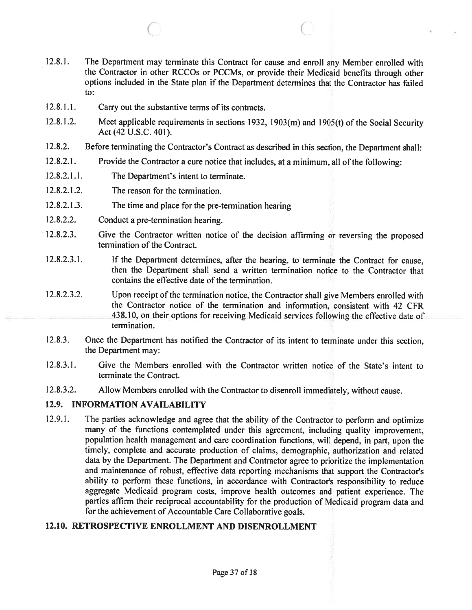12.8.1. The Department may terminate this Contract for cause and enroll any Member enrolled with the Contractor in other RCCOs or PCCMs, or provide their Medicaid benefits through other options included in the State plan if the Department determines that the Contractor has failed to:

 $\circ$  c

- 12.8.1.1. Carry out the substantive terms of its contracts.
- 12.8.1 .2. Meet applicable requirements in sections 1932, 1903(m) and 1905(t) of the Social Security Act (42 U.S.C. 401).
- 12.8.2. Before terminating the Contractor's Contract as described in this section, the Department shall:
- 12.8.2.1. Provide the Contractor a cure notice that includes, at a minimum, all of the following:
- 12.8.2.1.1. The Department's intent to terminate.
- 12.8.2.1.2. The reason for the termination.
- 12.8.2.1 .3. The time and <sup>p</sup>lace for the pre-termination hearing
- 12.8.2.2. Conduct <sup>a</sup> pre-termination hearing.
- 12.8.2.3. Give the Contractor written notice of the decision affirming or reversing the proposed termination of the Contract.
- 12.8.2.3.1. If the Department determines, after the hearing, to terminate the Contract for cause, then the Department shall send <sup>a</sup> written termination notice to the Contractor that contains the effective date of the termination.
- 12.8.2.3.2. Upon receipt of the termination notice, the Contractor shall give Members enrolled with the Contractor notice of the termination and information, consistent with 42 CFR 438.10, on their options for receiving Medicaid services following the effective date of termination.
- 12.8.3. Once the Department has notified the Contractor of its intent to terminate under this section, the Department may:
- 12.8.3.1. Give the Members enrolled with the Contractor written notice of the State's intent to terminate the Contract.
- 12.8.3.2. Allow Members enrolled with the Contractor to disenroll immediately, without cause.

# 12.9. INFORMATION AVAILABILITY

12.9.1. The parties acknowledge and agree that the ability of the Contractor to perform and optimize many of the functions contemplated under this agreement, including quality improvement, population health managemen<sup>t</sup> and care coordination functions, will depend, in part, upon the timely, complete and accurate production of claims, demographic, authorization and related data by the Department. The Department and Contractor agree to prioritize the implementation and maintenance of robust, effective data reporting mechanisms that suppor<sup>t</sup> the Contractor's ability to perform these functions, in accordance with Contractor's responsibility to reduce aggregate Medicaid program costs, improve health outcomes and patient experience. The parties affirm their reciprocal accountability for the production of Medicaid program data and for the achievement of Accountable Care Collaborative goals.

# 12.10. RETROSPECTIVE ENROLLMENT AND DISENROLLMENT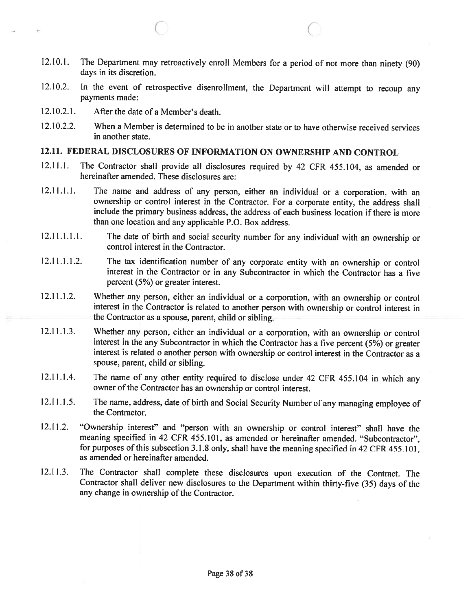12.10.1. The Department may retroactively enroll Members for <sup>a</sup> period of not more than ninety (90) days in its discretion.

 $\circ$   $\circ$   $\circ$ 

- 12.10.2. In the event of retrospective disenrollment, the Department will attempt to recoup any payments made:
- 12.10.2.1. After the date of a Member's death.
- 12.10.2.2. When <sup>a</sup> Member is determined to be in another state or to have otherwise received services in another state.

# 12.11. FEDERAL DISCLOSURES OF INFORMATION ON OWNERSHIP AND CONTROL

- 12.11.1. The Contractor shall provide all disclosures required by <sup>42</sup> CFR 455.104, as amended or hereinafter amended. These disclosures are:
- 12.11.1.1. The name and address of any person, either an individual or <sup>a</sup> corporation, with an ownership or control interest in the Contractor. For <sup>a</sup> corporate entity, the address shall include the primary business address, the address of each business location if there is more than one location and any applicable P.O. Box address.
- 12.11.1.1.1. The date of birth and social security number for any individual with an ownership or control interest in the Contractor.
- 12.11.1.1.2. The tax identification number of any corporate entity with an ownership or control interest in the Contractor or in any Subcontractor in which the Contractor has <sup>a</sup> five percent (5%) or greater interest.
- 12.11.1.2. Whether any person, either an individual or <sup>a</sup> corporation, with an ownership or control interest in the Contractor is related to another person with ownership or control interest in the Contractor as <sup>a</sup> spouse, parent, child or sibling.
- 12.11.1.3. Whether any person, either an individual or <sup>a</sup> corporation, with an ownership or control interest in the any Subcontractor in which the Contractor has <sup>a</sup> five percent (5%) or greater interest is related <sup>o</sup> another person with ownership or control interest in the Contractor as <sup>a</sup> spouse, parent, child or sibling.
- 12.11.1.4. The name of any other entity required to disclose under <sup>42</sup> CFR 455.104 in which any owner of the Contractor has an ownership or control interest.
- 12.11.1.5. The name, address, date of birth and Social Security Number of any managing employee of the Contractor.
- 12.11.2. "Ownership interest" and "person with an ownership or control interest" shall have the meaning specified in <sup>42</sup> CFR 455.101, as amended or hereinafter amended. "Subcontractor", for purposes of this subsection 3.1.8 only, shall have the meaning specified in 42 CFR 455.101, as amended or hereinafter amended.
- 12.11.3. The Contractor shall complete these disclosures upon execution of the Contract. The Contractor shall deliver new disclosures to the Department within thirty-five (35) days of the any change in ownership of the Contractor.